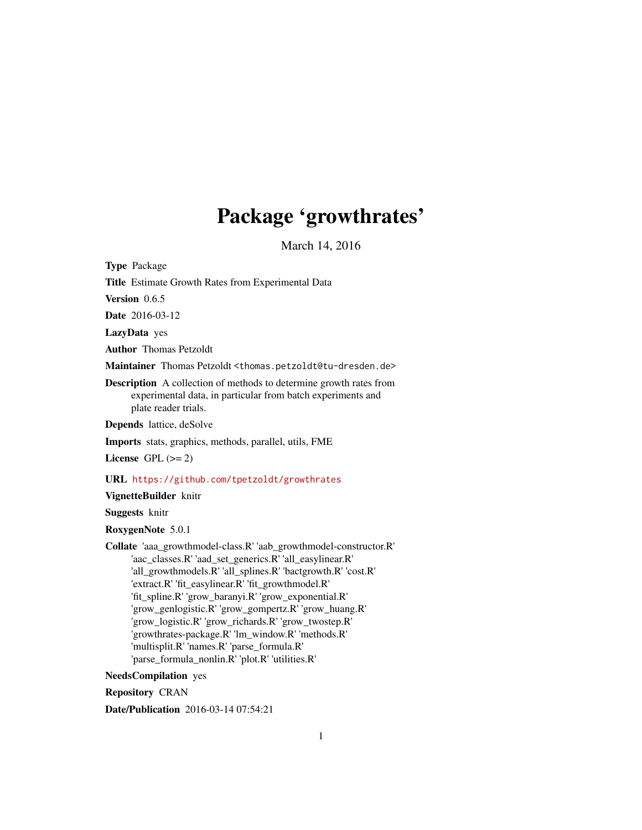# Package 'growthrates'

March 14, 2016

<span id="page-0-0"></span>Type Package

Title Estimate Growth Rates from Experimental Data

Version 0.6.5

Date 2016-03-12

LazyData yes

Author Thomas Petzoldt

Maintainer Thomas Petzoldt <thomas.petzoldt@tu-dresden.de>

Description A collection of methods to determine growth rates from experimental data, in particular from batch experiments and plate reader trials.

Depends lattice, deSolve

Imports stats, graphics, methods, parallel, utils, FME

License GPL  $(>= 2)$ 

# URL <https://github.com/tpetzoldt/growthrates>

VignetteBuilder knitr

Suggests knitr

RoxygenNote 5.0.1

Collate 'aaa\_growthmodel-class.R' 'aab\_growthmodel-constructor.R' 'aac\_classes.R' 'aad\_set\_generics.R' 'all\_easylinear.R' 'all\_growthmodels.R' 'all\_splines.R' 'bactgrowth.R' 'cost.R' 'extract.R' 'fit\_easylinear.R' 'fit\_growthmodel.R' 'fit\_spline.R' 'grow\_baranyi.R' 'grow\_exponential.R' 'grow\_genlogistic.R' 'grow\_gompertz.R' 'grow\_huang.R' 'grow\_logistic.R' 'grow\_richards.R' 'grow\_twostep.R' 'growthrates-package.R' 'lm\_window.R' 'methods.R' 'multisplit.R' 'names.R' 'parse\_formula.R' 'parse\_formula\_nonlin.R' 'plot.R' 'utilities.R'

NeedsCompilation yes

Repository CRAN

Date/Publication 2016-03-14 07:54:21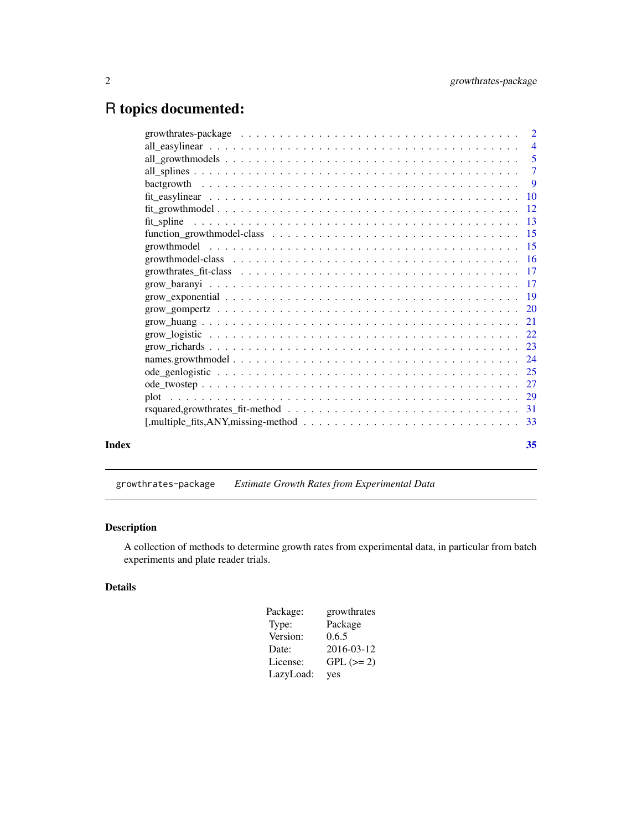# <span id="page-1-0"></span>R topics documented:

|       | growthrates-package $\ldots \ldots \ldots \ldots \ldots \ldots \ldots \ldots \ldots \ldots \ldots \ldots$ |    |
|-------|-----------------------------------------------------------------------------------------------------------|----|
|       |                                                                                                           |    |
|       |                                                                                                           |    |
|       |                                                                                                           |    |
|       |                                                                                                           |    |
|       |                                                                                                           |    |
|       |                                                                                                           |    |
|       |                                                                                                           |    |
|       |                                                                                                           |    |
|       |                                                                                                           |    |
|       |                                                                                                           |    |
|       |                                                                                                           |    |
|       |                                                                                                           |    |
|       |                                                                                                           |    |
|       |                                                                                                           |    |
|       |                                                                                                           |    |
|       |                                                                                                           |    |
|       |                                                                                                           |    |
|       |                                                                                                           |    |
|       |                                                                                                           |    |
|       |                                                                                                           |    |
|       |                                                                                                           |    |
|       |                                                                                                           |    |
|       |                                                                                                           |    |
|       |                                                                                                           |    |
| Index |                                                                                                           | 35 |
|       |                                                                                                           |    |

growthrates-package *Estimate Growth Rates from Experimental Data*

# Description

A collection of methods to determine growth rates from experimental data, in particular from batch experiments and plate reader trials.

# Details

| Package:  | growthrates |
|-----------|-------------|
| Type:     | Package     |
| Version:  | 0.6.5       |
| Date:     | 2016-03-12  |
| License:  | $GPL (= 2)$ |
| LazyLoad: | yes         |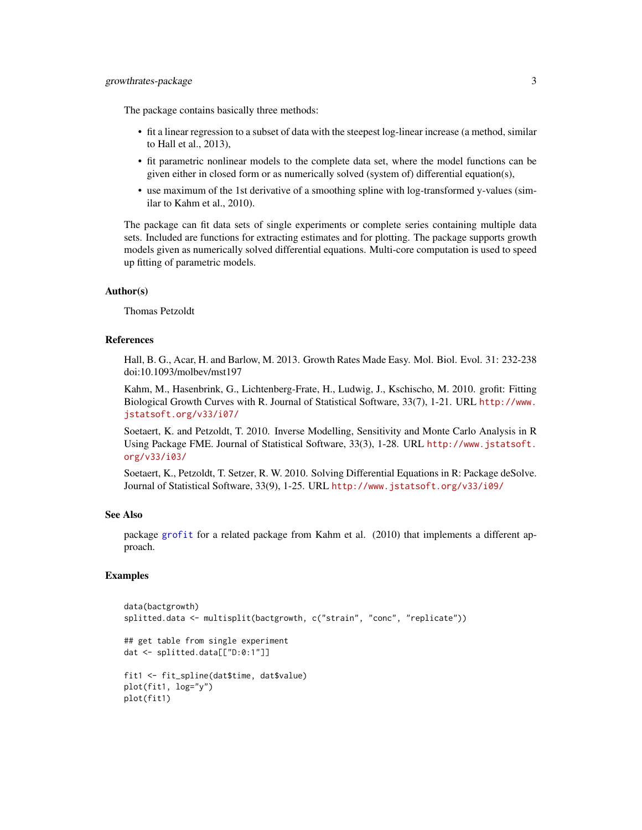<span id="page-2-0"></span>The package contains basically three methods:

- fit a linear regression to a subset of data with the steepest log-linear increase (a method, similar to Hall et al., 2013),
- fit parametric nonlinear models to the complete data set, where the model functions can be given either in closed form or as numerically solved (system of) differential equation(s),
- use maximum of the 1st derivative of a smoothing spline with log-transformed y-values (similar to Kahm et al., 2010).

The package can fit data sets of single experiments or complete series containing multiple data sets. Included are functions for extracting estimates and for plotting. The package supports growth models given as numerically solved differential equations. Multi-core computation is used to speed up fitting of parametric models.

# Author(s)

Thomas Petzoldt

#### References

Hall, B. G., Acar, H. and Barlow, M. 2013. Growth Rates Made Easy. Mol. Biol. Evol. 31: 232-238 doi:10.1093/molbev/mst197

Kahm, M., Hasenbrink, G., Lichtenberg-Frate, H., Ludwig, J., Kschischo, M. 2010. grofit: Fitting Biological Growth Curves with R. Journal of Statistical Software, 33(7), 1-21. URL [http://www.](http://www.jstatsoft.org/v33/i07/) [jstatsoft.org/v33/i07/](http://www.jstatsoft.org/v33/i07/)

Soetaert, K. and Petzoldt, T. 2010. Inverse Modelling, Sensitivity and Monte Carlo Analysis in R Using Package FME. Journal of Statistical Software, 33(3), 1-28. URL [http://www.jstatsoft.](http://www.jstatsoft.org/v33/i03/) [org/v33/i03/](http://www.jstatsoft.org/v33/i03/)

Soetaert, K., Petzoldt, T. Setzer, R. W. 2010. Solving Differential Equations in R: Package deSolve. Journal of Statistical Software, 33(9), 1-25. URL <http://www.jstatsoft.org/v33/i09/>

#### See Also

package [grofit](#page-0-0) for a related package from Kahm et al. (2010) that implements a different approach.

```
data(bactgrowth)
splitted.data <- multisplit(bactgrowth, c("strain", "conc", "replicate"))
## get table from single experiment
dat <- splitted.data[["D:0:1"]]
fit1 <- fit_spline(dat$time, dat$value)
plot(fit1, log="y")
plot(fit1)
```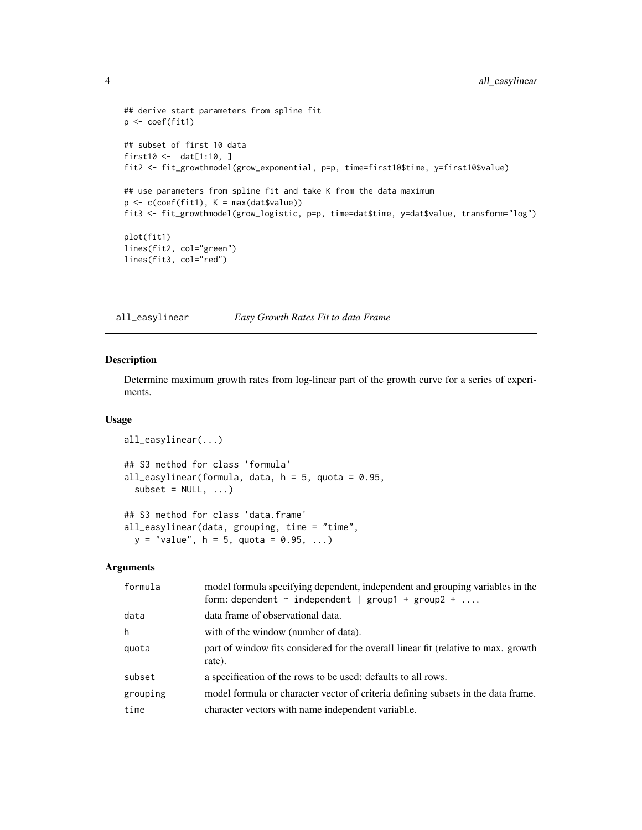```
## derive start parameters from spline fit
p <- coef(fit1)
## subset of first 10 data
first10 <- dat[1:10, ]
fit2 <- fit_growthmodel(grow_exponential, p=p, time=first10$time, y=first10$value)
## use parameters from spline fit and take K from the data maximum
p \leftarrow c(coef(fitt), K = max(datavalue))fit3 <- fit_growthmodel(grow_logistic, p=p, time=dat$time, y=dat$value, transform="log")
plot(fit1)
lines(fit2, col="green")
lines(fit3, col="red")
```
<span id="page-3-1"></span>all\_easylinear *Easy Growth Rates Fit to data Frame*

#### Description

Determine maximum growth rates from log-linear part of the growth curve for a series of experiments.

## Usage

```
all_easylinear(...)
## S3 method for class 'formula'
all_easylinear(formula, data, h = 5, quota = 0.95,
  subset = NULL, ...## S3 method for class 'data.frame'
```
all\_easylinear(data, grouping, time = "time",  $y = "value", h = 5, quota = 0.95, ...)$ 

#### Arguments

| formula  | model formula specifying dependent, independent and grouping variables in the<br>form: dependent $\sim$ independent   group1 + group2 + |
|----------|-----------------------------------------------------------------------------------------------------------------------------------------|
| data     | data frame of observational data.                                                                                                       |
| h        | with of the window (number of data).                                                                                                    |
| quota    | part of window fits considered for the overall linear fit (relative to max. growth<br>rate).                                            |
| subset   | a specification of the rows to be used: defaults to all rows.                                                                           |
| grouping | model formula or character vector of criteria defining subsets in the data frame.                                                       |
| time     | character vectors with name independent variabl.e.                                                                                      |

<span id="page-3-0"></span>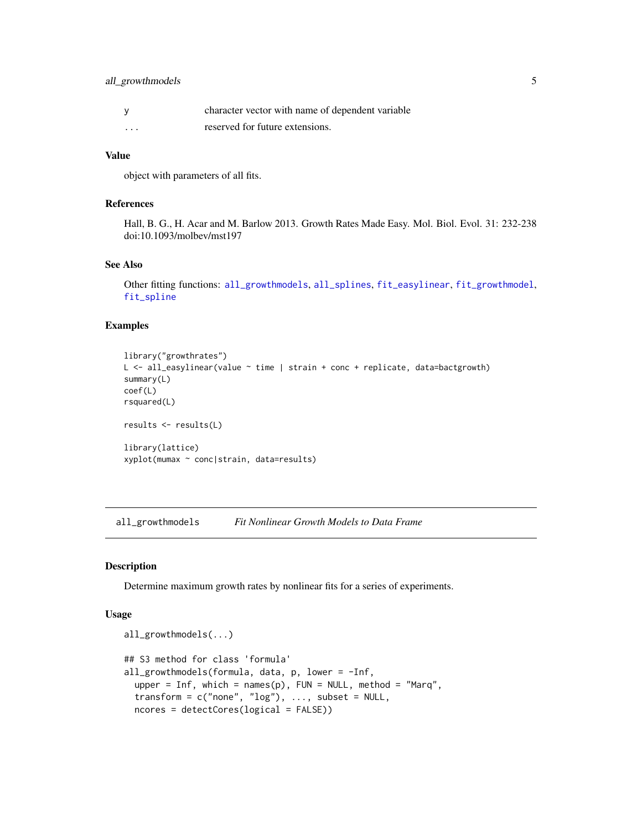# <span id="page-4-0"></span>all\_growthmodels 5

|          | character vector with name of dependent variable |
|----------|--------------------------------------------------|
| $\cdots$ | reserved for future extensions.                  |

# Value

object with parameters of all fits.

#### References

Hall, B. G., H. Acar and M. Barlow 2013. Growth Rates Made Easy. Mol. Biol. Evol. 31: 232-238 doi:10.1093/molbev/mst197

# See Also

Other fitting functions: [all\\_growthmodels](#page-4-1), [all\\_splines](#page-6-1), [fit\\_easylinear](#page-9-1), [fit\\_growthmodel](#page-11-1), [fit\\_spline](#page-12-1)

#### Examples

```
library("growthrates")
L <- all_easylinear(value ~ time | strain + conc + replicate, data=bactgrowth)
summary(L)
coef(L)
rsquared(L)
results <- results(L)
library(lattice)
xyplot(mumax ~ conc|strain, data=results)
```
<span id="page-4-1"></span>all\_growthmodels *Fit Nonlinear Growth Models to Data Frame*

#### Description

Determine maximum growth rates by nonlinear fits for a series of experiments.

# Usage

```
all_growthmodels(...)
## S3 method for class 'formula'
all_growthmodels(formula, data, p, lower = -Inf,
 upper = Inf, which = names(p), FUN = NULL, method = "Marq",
  transform = c("none", "log"), ..., subset = NULL,
 ncores = detectCores(logical = FALSE))
```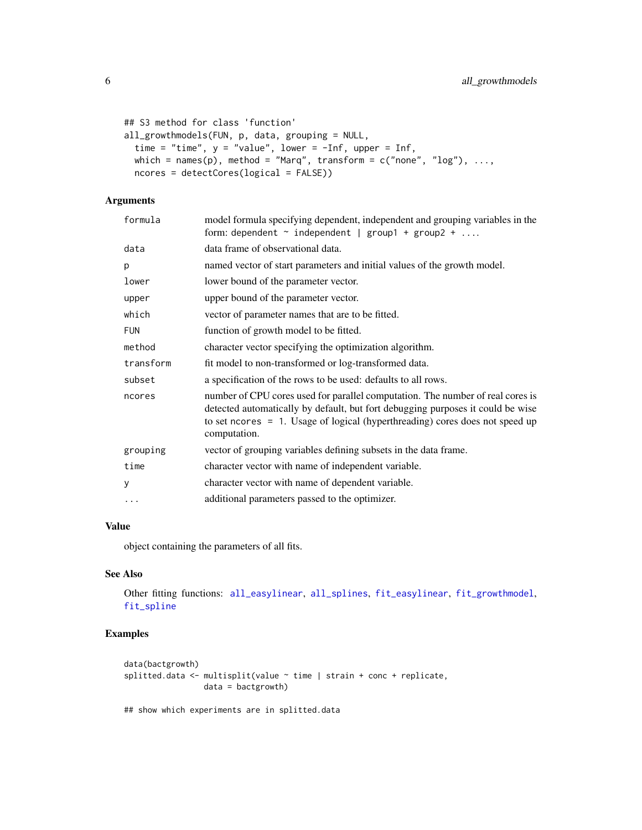```
## S3 method for class 'function'
all_growthmodels(FUN, p, data, grouping = NULL,
 time = "time", y = "value", lower = -Inf, upper = Inf,
 which = names(p), method = "Marq", transform = c("none", "log"), ...,ncores = detectCores(logical = FALSE))
```
# Arguments

| formula    | model formula specifying dependent, independent and grouping variables in the<br>form: dependent $\sim$ independent   group1 + group2 +                                                                                                                              |
|------------|----------------------------------------------------------------------------------------------------------------------------------------------------------------------------------------------------------------------------------------------------------------------|
| data       | data frame of observational data.                                                                                                                                                                                                                                    |
| p          | named vector of start parameters and initial values of the growth model.                                                                                                                                                                                             |
| lower      | lower bound of the parameter vector.                                                                                                                                                                                                                                 |
| upper      | upper bound of the parameter vector.                                                                                                                                                                                                                                 |
| which      | vector of parameter names that are to be fitted.                                                                                                                                                                                                                     |
| <b>FUN</b> | function of growth model to be fitted.                                                                                                                                                                                                                               |
| method     | character vector specifying the optimization algorithm.                                                                                                                                                                                                              |
| transform  | fit model to non-transformed or log-transformed data.                                                                                                                                                                                                                |
| subset     | a specification of the rows to be used: defaults to all rows.                                                                                                                                                                                                        |
| ncores     | number of CPU cores used for parallel computation. The number of real cores is<br>detected automatically by default, but fort debugging purposes it could be wise<br>to set ncores $= 1$ . Usage of logical (hyperthreading) cores does not speed up<br>computation. |
| grouping   | vector of grouping variables defining subsets in the data frame.                                                                                                                                                                                                     |
| time       | character vector with name of independent variable.                                                                                                                                                                                                                  |
| y          | character vector with name of dependent variable.                                                                                                                                                                                                                    |
| $\cdots$   | additional parameters passed to the optimizer.                                                                                                                                                                                                                       |

# Value

object containing the parameters of all fits.

#### See Also

Other fitting functions: [all\\_easylinear](#page-3-1), [all\\_splines](#page-6-1), [fit\\_easylinear](#page-9-1), [fit\\_growthmodel](#page-11-1), [fit\\_spline](#page-12-1)

# Examples

```
data(bactgrowth)
splitted.data <- multisplit(value ~ time | strain + conc + replicate,
                 data = bactgrowth)
```
## show which experiments are in splitted.data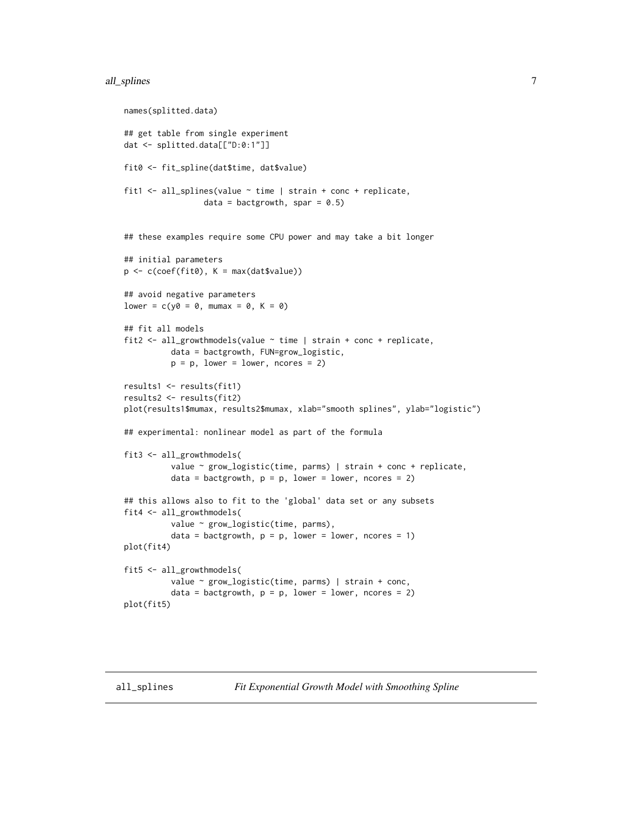# <span id="page-6-0"></span>all\_splines 7

```
names(splitted.data)
## get table from single experiment
dat <- splitted.data[["D:0:1"]]
fit0 <- fit_spline(dat$time, dat$value)
fit1 <- all_splines(value ~ time | strain + conc + replicate,
                 data = bactgrowth, spar = 0.5)
## these examples require some CPU power and may take a bit longer
## initial parameters
p \leftarrow c(coef(fit0), K = max(data\$value))## avoid negative parameters
lower = c(y0 = 0, \text{ mumax} = 0, \text{ K} = 0)## fit all models
fit2 <- all_growthmodels(value ~ time | strain + conc + replicate,
          data = bactgrowth, FUN=grow_logistic,
          p = p, lower = lower, ncores = 2)
results1 <- results(fit1)
results2 <- results(fit2)
plot(results1$mumax, results2$mumax, xlab="smooth splines", ylab="logistic")
## experimental: nonlinear model as part of the formula
fit3 <- all_growthmodels(
          value ~ grow_logistic(time, parms) | strain + conc + replicate,
          data = bactgrowth, p = p, lower = lower, ncores = 2)
## this allows also to fit to the 'global' data set or any subsets
fit4 <- all_growthmodels(
          value ~ grow_logistic(time, parms),
          data = bactgrowth, p = p, lower = lower, ncores = 1)
plot(fit4)
fit5 <- all_growthmodels(
          value ~ grow_logistic(time, parms) | strain + conc,
          data = bactgrowth, p = p, lower = lower, ncores = 2)
plot(fit5)
```
<span id="page-6-1"></span>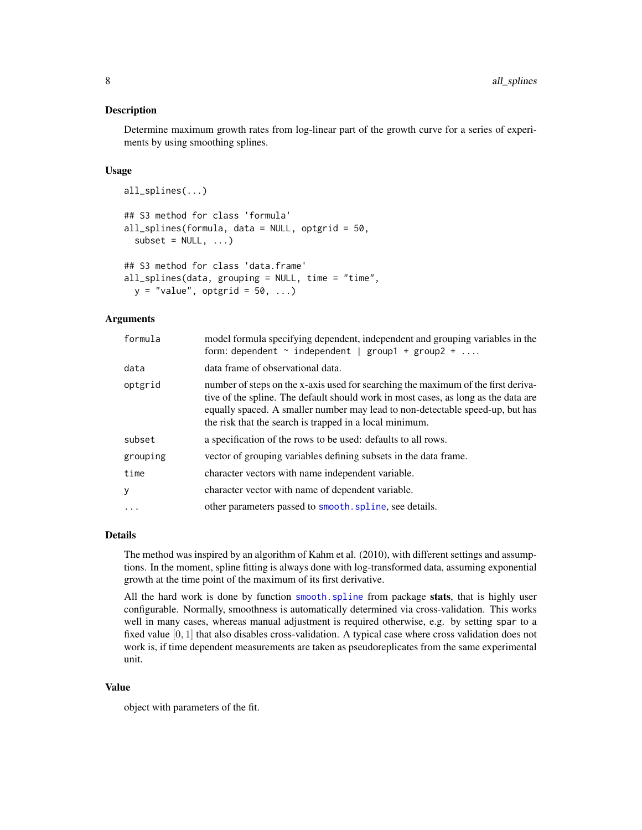<span id="page-7-0"></span>Determine maximum growth rates from log-linear part of the growth curve for a series of experiments by using smoothing splines.

# Usage

```
all_splines(...)
```

```
## S3 method for class 'formula'
all_splines(formula, data = NULL, optgrid = 50,
  subset = NULL, ...## S3 method for class 'data.frame'
```

```
all_splines(data, grouping = NULL, time = "time",
 y = "value", optgrid = 50, ...)
```
#### Arguments

| formula  | model formula specifying dependent, independent and grouping variables in the<br>form: dependent $\sim$ independent   group1 + group2 +                                                                                                                                                                             |
|----------|---------------------------------------------------------------------------------------------------------------------------------------------------------------------------------------------------------------------------------------------------------------------------------------------------------------------|
| data     | data frame of observational data.                                                                                                                                                                                                                                                                                   |
| optgrid  | number of steps on the x-axis used for searching the maximum of the first deriva-<br>tive of the spline. The default should work in most cases, as long as the data are<br>equally spaced. A smaller number may lead to non-detectable speed-up, but has<br>the risk that the search is trapped in a local minimum. |
| subset   | a specification of the rows to be used: defaults to all rows.                                                                                                                                                                                                                                                       |
| grouping | vector of grouping variables defining subsets in the data frame.                                                                                                                                                                                                                                                    |
| time     | character vectors with name independent variable.                                                                                                                                                                                                                                                                   |
| У        | character vector with name of dependent variable.                                                                                                                                                                                                                                                                   |
| $\cdot$  | other parameters passed to smooth. spline, see details.                                                                                                                                                                                                                                                             |

# Details

The method was inspired by an algorithm of Kahm et al. (2010), with different settings and assumptions. In the moment, spline fitting is always done with log-transformed data, assuming exponential growth at the time point of the maximum of its first derivative.

All the hard work is done by function smooth. spline from package stats, that is highly user configurable. Normally, smoothness is automatically determined via cross-validation. This works well in many cases, whereas manual adjustment is required otherwise, e.g. by setting spar to a fixed value [0, 1] that also disables cross-validation. A typical case where cross validation does not work is, if time dependent measurements are taken as pseudoreplicates from the same experimental unit.

# Value

object with parameters of the fit.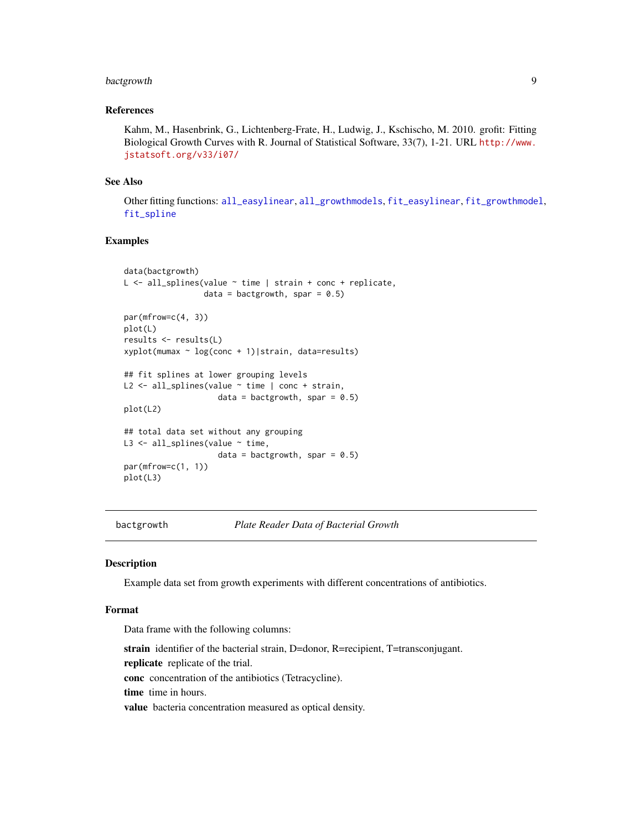# <span id="page-8-0"></span>bactgrowth 9

# References

Kahm, M., Hasenbrink, G., Lichtenberg-Frate, H., Ludwig, J., Kschischo, M. 2010. grofit: Fitting Biological Growth Curves with R. Journal of Statistical Software, 33(7), 1-21. URL [http://www.](http://www.jstatsoft.org/v33/i07/) [jstatsoft.org/v33/i07/](http://www.jstatsoft.org/v33/i07/)

#### See Also

Other fitting functions: [all\\_easylinear](#page-3-1), [all\\_growthmodels](#page-4-1), [fit\\_easylinear](#page-9-1), [fit\\_growthmodel](#page-11-1), [fit\\_spline](#page-12-1)

# Examples

```
data(bactgrowth)
L <- all_splines(value ~ time | strain + conc + replicate,
                 data = bactgrowth, spar = 0.5)
par(mfrow=c(4, 3))
plot(L)
results <- results(L)
xyplot(mumax ~ log(conc + 1)|strain, data=results)
## fit splines at lower grouping levels
L2 \leq all\_splines(value \sim time \mid conc + strain,data = bactgrowth, spar = 0.5)
plot(L2)
## total data set without any grouping
L3 <- all_splines(value ~ time,
                    data = bactgrowth, spar = 0.5)
par(mfrow=c(1, 1))
plot(L3)
```
bactgrowth *Plate Reader Data of Bacterial Growth*

#### Description

Example data set from growth experiments with different concentrations of antibiotics.

#### Format

Data frame with the following columns:

strain identifier of the bacterial strain, D=donor, R=recipient, T=transconjugant.

replicate replicate of the trial.

conc concentration of the antibiotics (Tetracycline).

time time in hours.

value bacteria concentration measured as optical density.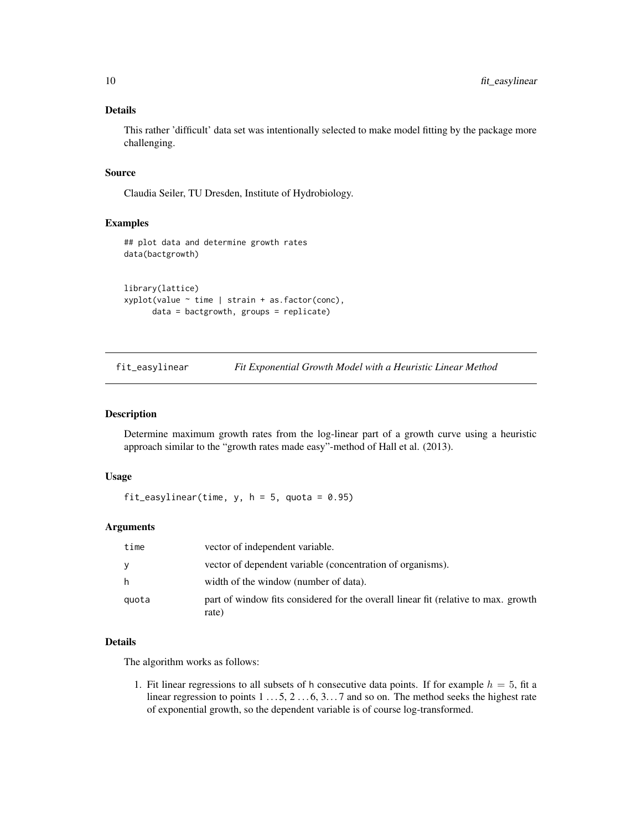# Details

This rather 'difficult' data set was intentionally selected to make model fitting by the package more challenging.

# Source

Claudia Seiler, TU Dresden, Institute of Hydrobiology.

#### Examples

```
## plot data and determine growth rates
data(bactgrowth)
library(lattice)
xyplot(value ~ time | strain + as.factor(conc),
     data = bactgrowth, groups = replicate)
```
<span id="page-9-1"></span>fit\_easylinear *Fit Exponential Growth Model with a Heuristic Linear Method*

# Description

Determine maximum growth rates from the log-linear part of a growth curve using a heuristic approach similar to the "growth rates made easy"-method of Hall et al. (2013).

#### Usage

fit\_easylinear(time,  $y$ ,  $h = 5$ , quota = 0.95)

# Arguments

| time  | vector of independent variable.                                                             |
|-------|---------------------------------------------------------------------------------------------|
| y     | vector of dependent variable (concentration of organisms).                                  |
| h     | width of the window (number of data).                                                       |
| quota | part of window fits considered for the overall linear fit (relative to max. growth<br>rate) |

#### Details

The algorithm works as follows:

1. Fit linear regressions to all subsets of h consecutive data points. If for example  $h = 5$ , fit a linear regression to points  $1 \dots 5, 2 \dots 6, 3 \dots 7$  and so on. The method seeks the highest rate of exponential growth, so the dependent variable is of course log-transformed.

<span id="page-9-0"></span>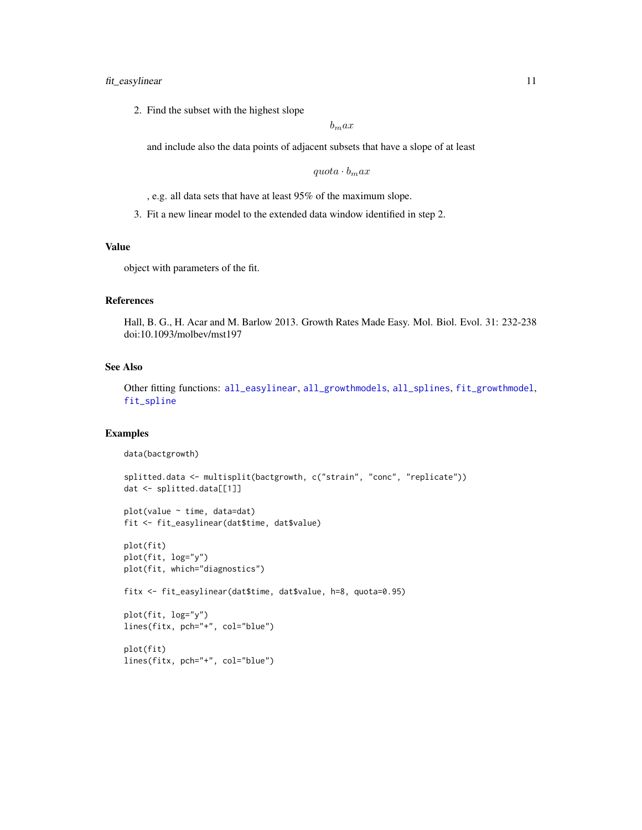# <span id="page-10-0"></span>fit\_easylinear 11

2. Find the subset with the highest slope

 $b_max$ 

and include also the data points of adjacent subsets that have a slope of at least

quota  $\cdot$   $b_max$ 

, e.g. all data sets that have at least 95% of the maximum slope.

3. Fit a new linear model to the extended data window identified in step 2.

# Value

object with parameters of the fit.

# References

Hall, B. G., H. Acar and M. Barlow 2013. Growth Rates Made Easy. Mol. Biol. Evol. 31: 232-238 doi:10.1093/molbev/mst197

# See Also

Other fitting functions: [all\\_easylinear](#page-3-1), [all\\_growthmodels](#page-4-1), [all\\_splines](#page-6-1), [fit\\_growthmodel](#page-11-1), [fit\\_spline](#page-12-1)

```
data(bactgrowth)
splitted.data <- multisplit(bactgrowth, c("strain", "conc", "replicate"))
dat <- splitted.data[[1]]
plot(value ~ time, data=dat)fit <- fit_easylinear(dat$time, dat$value)
plot(fit)
plot(fit, log="y")
plot(fit, which="diagnostics")
fitx <- fit_easylinear(dat$time, dat$value, h=8, quota=0.95)
plot(fit, log="y")
lines(fitx, pch="+", col="blue")
plot(fit)
lines(fitx, pch="+", col="blue")
```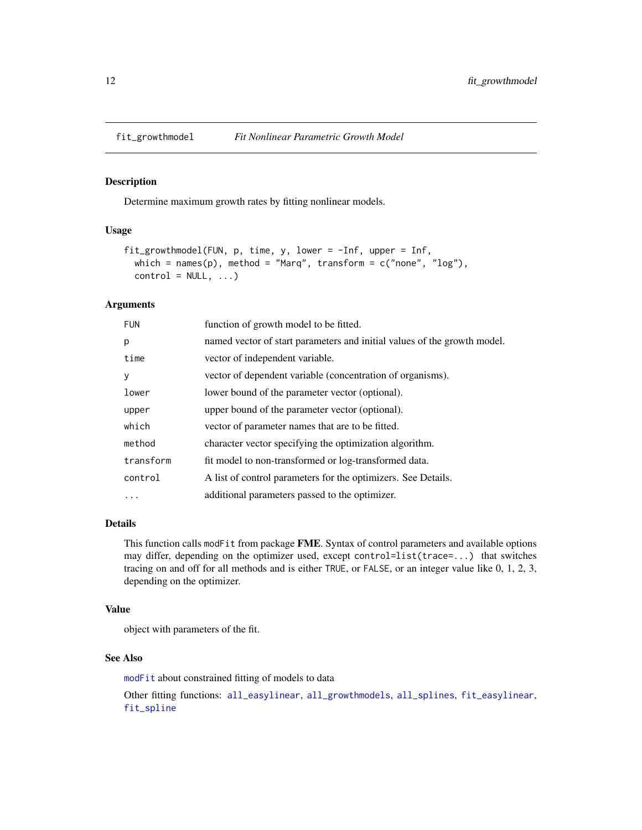<span id="page-11-1"></span><span id="page-11-0"></span>

Determine maximum growth rates by fitting nonlinear models.

# Usage

```
fit_growthmodel(FUN, p, time, y, lower = -Inf, upper = Inf,
 which = names(p), method = "Marq", transform = c("none", "log"),
  control = NULL, ...)
```
# Arguments

| <b>FUN</b> | function of growth model to be fitted.                                   |
|------------|--------------------------------------------------------------------------|
| p          | named vector of start parameters and initial values of the growth model. |
| time       | vector of independent variable.                                          |
| у          | vector of dependent variable (concentration of organisms).               |
| lower      | lower bound of the parameter vector (optional).                          |
| upper      | upper bound of the parameter vector (optional).                          |
| which      | vector of parameter names that are to be fitted.                         |
| method     | character vector specifying the optimization algorithm.                  |
| transform  | fit model to non-transformed or log-transformed data.                    |
| control    | A list of control parameters for the optimizers. See Details.            |
| .          | additional parameters passed to the optimizer.                           |
|            |                                                                          |

## Details

This function calls modFit from package FME. Syntax of control parameters and available options may differ, depending on the optimizer used, except control=list(trace=...) that switches tracing on and off for all methods and is either TRUE, or FALSE, or an integer value like 0, 1, 2, 3, depending on the optimizer.

# Value

object with parameters of the fit.

#### See Also

[modFit](#page-0-0) about constrained fitting of models to data

Other fitting functions: [all\\_easylinear](#page-3-1), [all\\_growthmodels](#page-4-1), [all\\_splines](#page-6-1), [fit\\_easylinear](#page-9-1), [fit\\_spline](#page-12-1)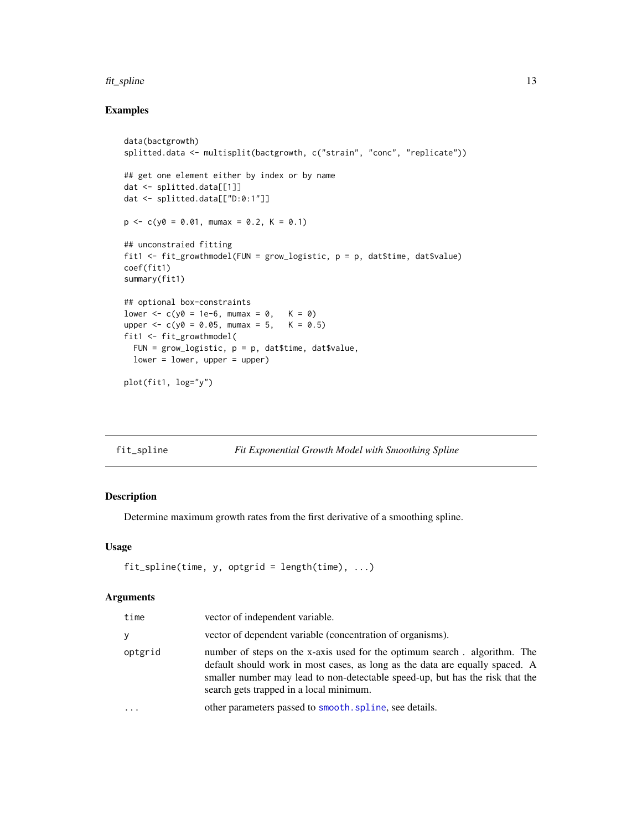#### <span id="page-12-0"></span>fit\_spline 13

# Examples

```
data(bactgrowth)
splitted.data <- multisplit(bactgrowth, c("strain", "conc", "replicate"))
## get one element either by index or by name
dat <- splitted.data[[1]]
dat <- splitted.data[["D:0:1"]]
p \leq -c(y0 = 0.01, \text{ mumax} = 0.2, K = 0.1)## unconstraied fitting
fit1 <- fit_growthmodel(FUN = grow_logistic, p = p, dat$time, dat$value)
coef(fit1)
summary(fit1)
## optional box-constraints
lower \langle -c(y\theta = 1e-6, \text{ mumax} = \theta, K = \theta \rangleupper <- c(y0 = 0.05, mumax = 5, K = 0.5)
fit1 <- fit_growthmodel(
  FUN = grow\_logistic, p = p, dat$time, dat$value,
  lower = lower, upper = upper)plot(fit1, log="y")
```
# <span id="page-12-1"></span>fit\_spline *Fit Exponential Growth Model with Smoothing Spline*

# Description

Determine maximum growth rates from the first derivative of a smoothing spline.

# Usage

```
fit_spline(time, y, optgrid = length(time), ...)
```
#### Arguments

| time    | vector of independent variable.                                                                                                                                                                                                                                                       |
|---------|---------------------------------------------------------------------------------------------------------------------------------------------------------------------------------------------------------------------------------------------------------------------------------------|
| y       | vector of dependent variable (concentration of organisms).                                                                                                                                                                                                                            |
| optgrid | number of steps on the x-axis used for the optimum search, algorithm. The<br>default should work in most cases, as long as the data are equally spaced. A<br>smaller number may lead to non-detectable speed-up, but has the risk that the<br>search gets trapped in a local minimum. |
|         | other parameters passed to smooth. spline, see details.                                                                                                                                                                                                                               |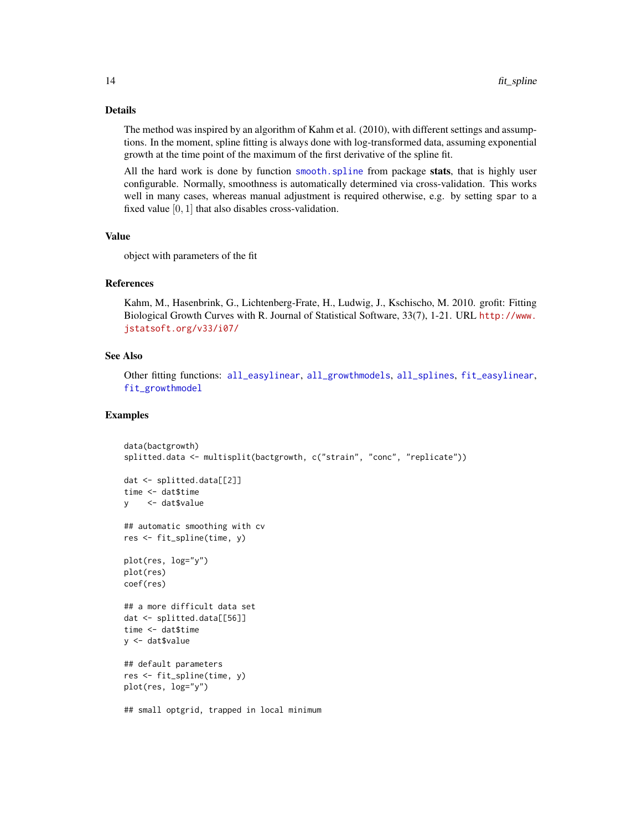#### Details

The method was inspired by an algorithm of Kahm et al. (2010), with different settings and assumptions. In the moment, spline fitting is always done with log-transformed data, assuming exponential growth at the time point of the maximum of the first derivative of the spline fit.

All the hard work is done by function smooth. spline from package stats, that is highly user configurable. Normally, smoothness is automatically determined via cross-validation. This works well in many cases, whereas manual adjustment is required otherwise, e.g. by setting spar to a fixed value  $[0, 1]$  that also disables cross-validation.

# Value

object with parameters of the fit

# References

Kahm, M., Hasenbrink, G., Lichtenberg-Frate, H., Ludwig, J., Kschischo, M. 2010. grofit: Fitting Biological Growth Curves with R. Journal of Statistical Software, 33(7), 1-21. URL [http://www.](http://www.jstatsoft.org/v33/i07/) [jstatsoft.org/v33/i07/](http://www.jstatsoft.org/v33/i07/)

# See Also

Other fitting functions: [all\\_easylinear](#page-3-1), [all\\_growthmodels](#page-4-1), [all\\_splines](#page-6-1), [fit\\_easylinear](#page-9-1), [fit\\_growthmodel](#page-11-1)

```
data(bactgrowth)
splitted.data <- multisplit(bactgrowth, c("strain", "conc", "replicate"))
dat <- splitted.data[[2]]
time <- dat$time
y <- dat$value
## automatic smoothing with cv
res <- fit_spline(time, y)
plot(res, log="y")
plot(res)
coef(res)
## a more difficult data set
dat <- splitted.data[[56]]
time <- dat$time
y <- dat$value
## default parameters
res <- fit_spline(time, y)
plot(res, log="y")
## small optgrid, trapped in local minimum
```
<span id="page-13-0"></span>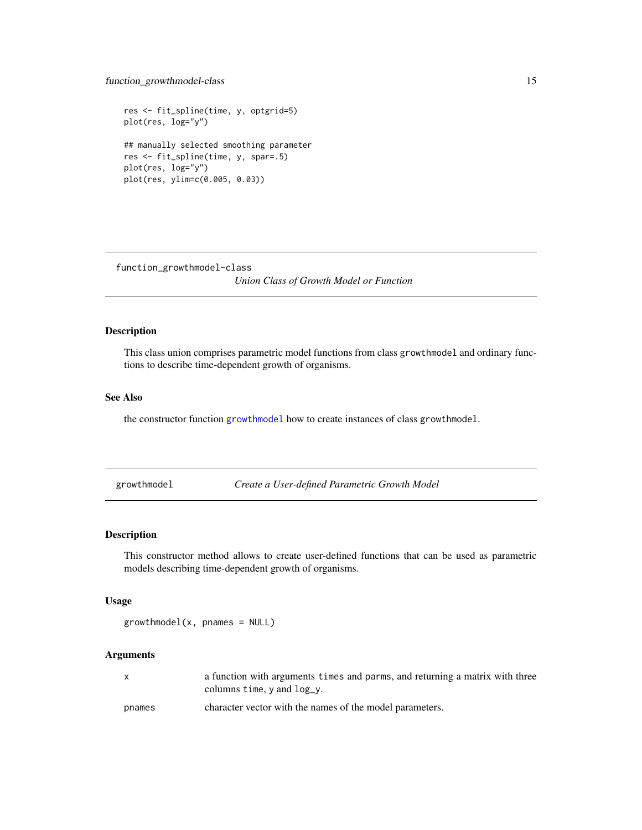# <span id="page-14-0"></span>function\_growthmodel-class 15

```
res <- fit_spline(time, y, optgrid=5)
plot(res, log="y")
## manually selected smoothing parameter
res <- fit_spline(time, y, spar=.5)
plot(res, log="y")
plot(res, ylim=c(0.005, 0.03))
```
function\_growthmodel-class

*Union Class of Growth Model or Function*

#### Description

This class union comprises parametric model functions from class growthmodel and ordinary functions to describe time-dependent growth of organisms.

# See Also

the constructor function [growthmodel](#page-14-1) how to create instances of class growthmodel.

<span id="page-14-1"></span>growthmodel *Create a User-defined Parametric Growth Model*

# Description

This constructor method allows to create user-defined functions that can be used as parametric models describing time-dependent growth of organisms.

# Usage

```
growthmodel(x, panames = NULL)
```
# Arguments

|        | a function with arguments times and parms, and returning a matrix with three<br>columns time, $\nu$ and $\log_\nu$ . |
|--------|----------------------------------------------------------------------------------------------------------------------|
| pnames | character vector with the names of the model parameters.                                                             |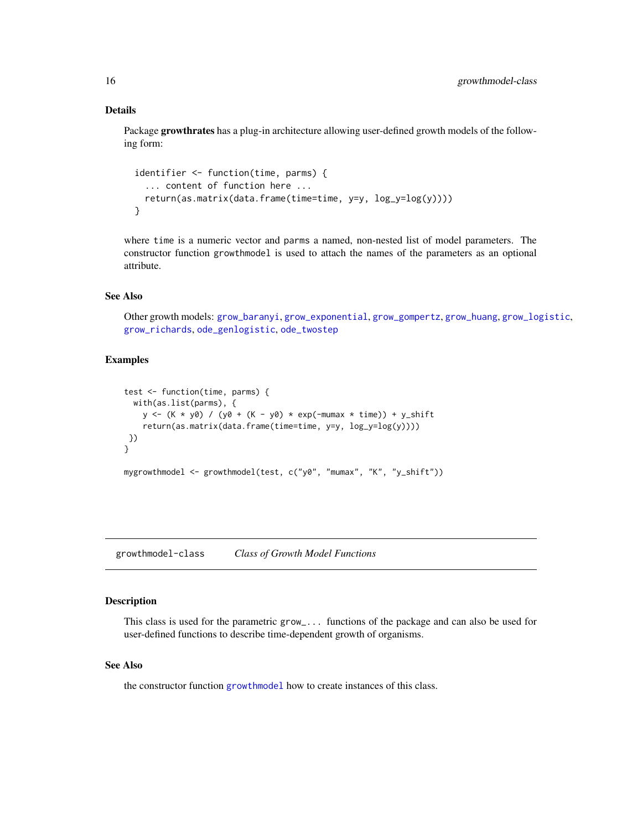# Details

Package growthrates has a plug-in architecture allowing user-defined growth models of the following form:

```
identifier <- function(time, parms) {
  ... content of function here ...
 return(as.matrix(data.frame(time=time, y=y, log_y=log(y))))
}
```
where time is a numeric vector and parms a named, non-nested list of model parameters. The constructor function growthmodel is used to attach the names of the parameters as an optional attribute.

#### See Also

Other growth models: [grow\\_baranyi](#page-16-1), [grow\\_exponential](#page-18-1), [grow\\_gompertz](#page-19-1), [grow\\_huang](#page-20-1), [grow\\_logistic](#page-21-1), [grow\\_richards](#page-22-1), [ode\\_genlogistic](#page-24-1), [ode\\_twostep](#page-26-1)

# Examples

```
test <- function(time, parms) {
  with(as.list(parms), {
    y \le -(K * y0) / (y0 + (K - y0) * exp(-mumax * time)) + y_shiftreturn(as.matrix(data.frame(time=time, y=y, log_y=log(y))))
})
}
mygrowthmodel <- growthmodel(test, c("y0", "mumax", "K", "y_shift"))
```
growthmodel-class *Class of Growth Model Functions*

# Description

This class is used for the parametric grow\_... functions of the package and can also be used for user-defined functions to describe time-dependent growth of organisms.

# See Also

the constructor function [growthmodel](#page-14-1) how to create instances of this class.

<span id="page-15-0"></span>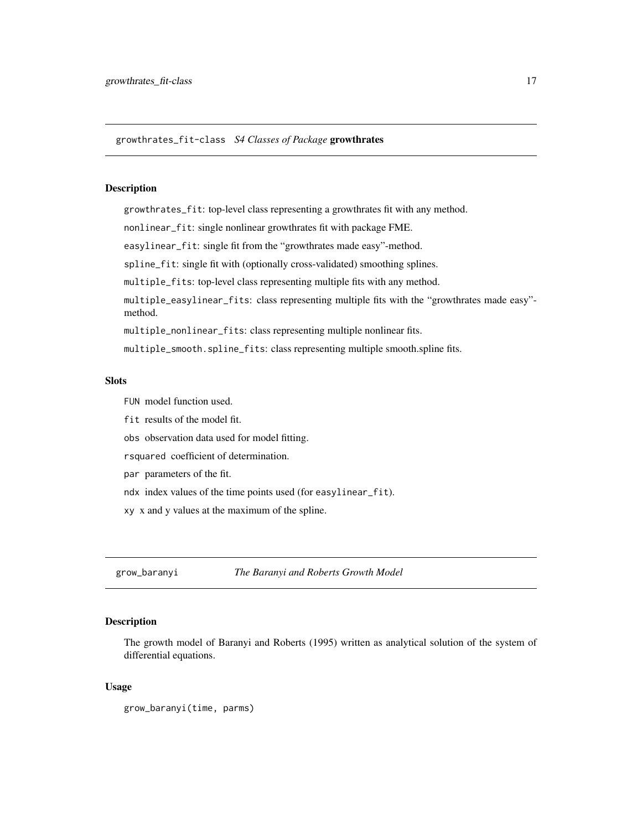<span id="page-16-0"></span>growthrates\_fit-class *S4 Classes of Package* growthrates

#### <span id="page-16-2"></span>Description

growthrates\_fit: top-level class representing a growthrates fit with any method. nonlinear\_fit: single nonlinear growthrates fit with package FME. easylinear\_fit: single fit from the "growthrates made easy"-method. spline\_fit: single fit with (optionally cross-validated) smoothing splines. multiple\_fits: top-level class representing multiple fits with any method. multiple\_easylinear\_fits: class representing multiple fits with the "growthrates made easy" method. multiple\_nonlinear\_fits: class representing multiple nonlinear fits. multiple\_smooth.spline\_fits: class representing multiple smooth.spline fits.

# Slots

FUN model function used.

fit results of the model fit.

obs observation data used for model fitting.

rsquared coefficient of determination.

par parameters of the fit.

ndx index values of the time points used (for easylinear\_fit).

xy x and y values at the maximum of the spline.

<span id="page-16-1"></span>grow\_baranyi *The Baranyi and Roberts Growth Model*

# Description

The growth model of Baranyi and Roberts (1995) written as analytical solution of the system of differential equations.

#### Usage

grow\_baranyi(time, parms)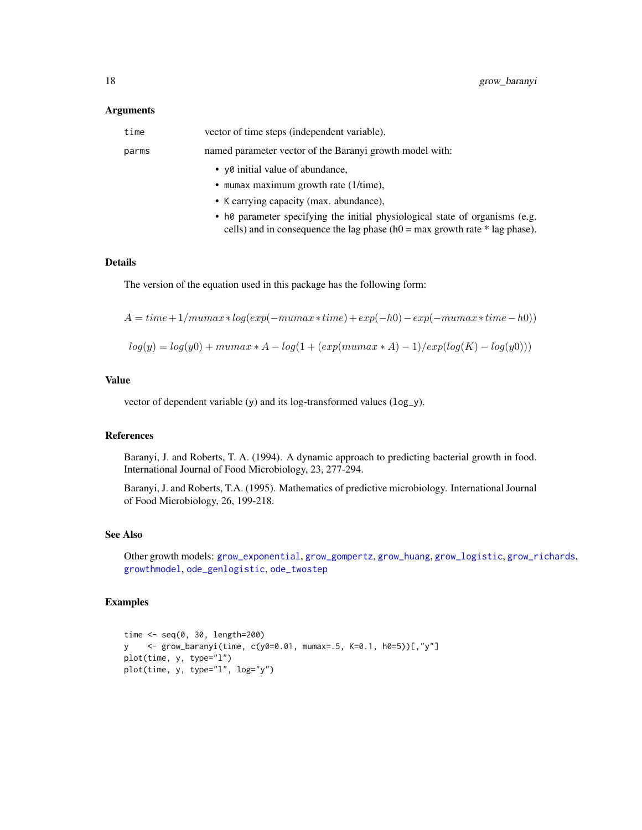#### <span id="page-17-0"></span>Arguments

| time  | vector of time steps (independent variable).                      |
|-------|-------------------------------------------------------------------|
| parms | named parameter vector of the Baranyi growth model with:          |
|       | • y0 initial value of abundance,                                  |
|       | • mumax maximum growth rate (1/time),                             |
|       | • K carrying capacity (max. abundance),                           |
|       | a h0 negrometra encoifujna the initial physiological state of one |

• h0 parameter specifying the initial physiological state of organisms (e.g. cells) and in consequence the lag phase ( $h0 = max$  growth rate  $*$  lag phase).

#### Details

The version of the equation used in this package has the following form:

$$
A = time + 1/munax * log(exp(-numax * time) + exp(-h0) - exp(-numax * time - h0))
$$

$$
log(y) = log(y0) + mumax * A - log(1 + (exp(mumax * A) - 1)/exp(log(K) - log(y0)))
$$

# Value

vector of dependent variable (y) and its log-transformed values (log\_y).

# References

Baranyi, J. and Roberts, T. A. (1994). A dynamic approach to predicting bacterial growth in food. International Journal of Food Microbiology, 23, 277-294.

Baranyi, J. and Roberts, T.A. (1995). Mathematics of predictive microbiology. International Journal of Food Microbiology, 26, 199-218.

# See Also

Other growth models: [grow\\_exponential](#page-18-1), [grow\\_gompertz](#page-19-1), [grow\\_huang](#page-20-1), [grow\\_logistic](#page-21-1), [grow\\_richards](#page-22-1), [growthmodel](#page-14-1), [ode\\_genlogistic](#page-24-1), [ode\\_twostep](#page-26-1)

```
time <- seq(0, 30, length=200)
y <- grow_baranyi(time, c(y0=0.01, mumax=.5, K=0.1, h0=5))[,"y"]
plot(time, y, type="l")
plot(time, y, type="l", log="y")
```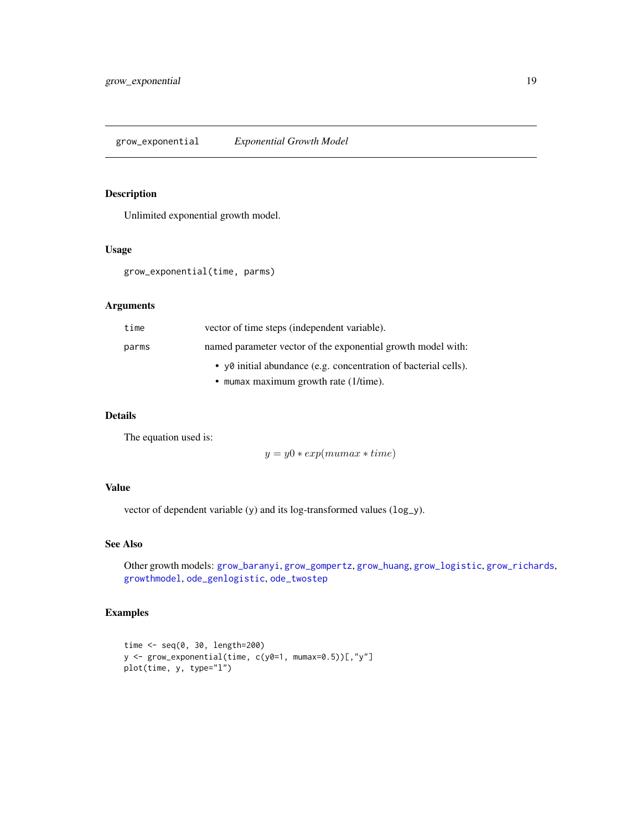<span id="page-18-1"></span><span id="page-18-0"></span>Unlimited exponential growth model.

# Usage

```
grow_exponential(time, parms)
```
# Arguments

| time  | vector of time steps (independent variable).                    |
|-------|-----------------------------------------------------------------|
| parms | named parameter vector of the exponential growth model with:    |
|       | • yo initial abundance (e.g. concentration of bacterial cells). |
|       | • mumax maximum growth rate $(1/time)$ .                        |

# Details

The equation used is:

$$
y = y0 * exp(mumax * time)
$$

# Value

vector of dependent variable (y) and its log-transformed values (log\_y).

# See Also

Other growth models: [grow\\_baranyi](#page-16-1), [grow\\_gompertz](#page-19-1), [grow\\_huang](#page-20-1), [grow\\_logistic](#page-21-1), [grow\\_richards](#page-22-1), [growthmodel](#page-14-1), [ode\\_genlogistic](#page-24-1), [ode\\_twostep](#page-26-1)

```
time <- seq(0, 30, length=200)
y <- grow_exponential(time, c(y0=1, mumax=0.5))[,"y"]
plot(time, y, type="l")
```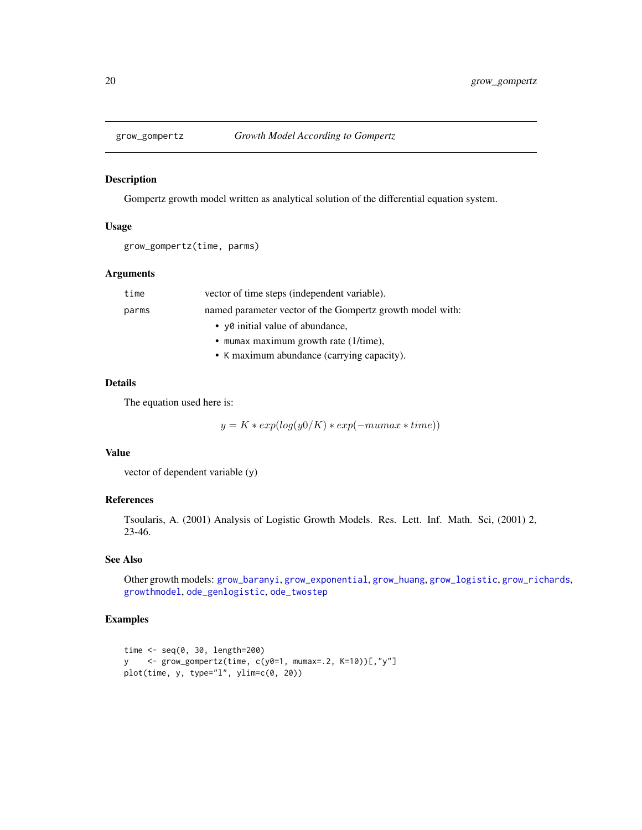<span id="page-19-1"></span><span id="page-19-0"></span>

Gompertz growth model written as analytical solution of the differential equation system.

# Usage

grow\_gompertz(time, parms)

#### Arguments

| time  | vector of time steps (independent variable).              |
|-------|-----------------------------------------------------------|
| parms | named parameter vector of the Gompertz growth model with: |
|       | • yo initial value of abundance.                          |
|       | $\bullet$ mumax maximum growth rate (1/time),             |
|       |                                                           |

• K maximum abundance (carrying capacity).

# Details

The equation used here is:

 $y = K * exp(log(y0/K) * exp(-mumax * time))$ 

# Value

vector of dependent variable (y)

# References

Tsoularis, A. (2001) Analysis of Logistic Growth Models. Res. Lett. Inf. Math. Sci, (2001) 2, 23-46.

# See Also

Other growth models: [grow\\_baranyi](#page-16-1), [grow\\_exponential](#page-18-1), [grow\\_huang](#page-20-1), [grow\\_logistic](#page-21-1), [grow\\_richards](#page-22-1), [growthmodel](#page-14-1), [ode\\_genlogistic](#page-24-1), [ode\\_twostep](#page-26-1)

```
time <- seq(0, 30, length=200)
y <- grow_gompertz(time, c(y0=1, mumax=.2, K=10))[,"y"]
plot(time, y, type="l", ylim=c(0, 20))
```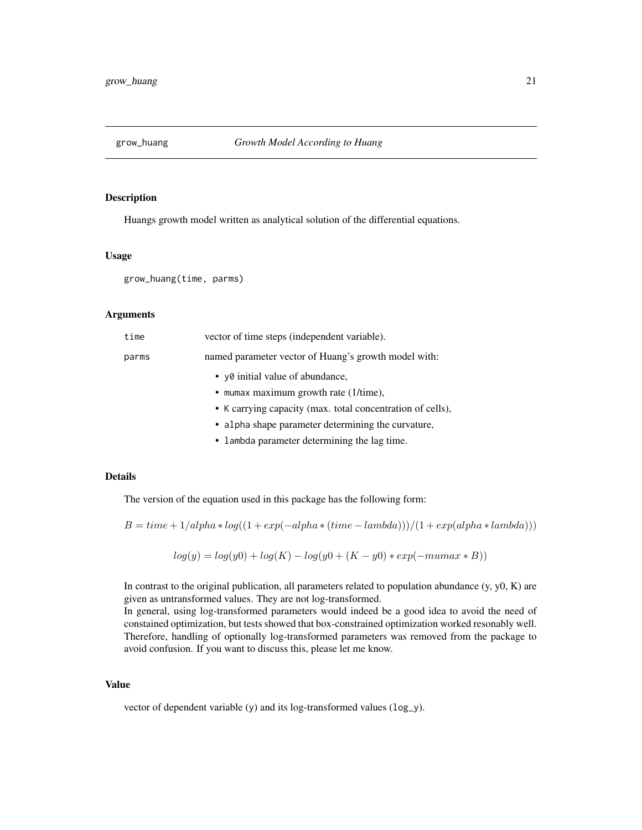<span id="page-20-1"></span><span id="page-20-0"></span>

Huangs growth model written as analytical solution of the differential equations.

#### Usage

grow\_huang(time, parms)

#### **Arguments**

| time  | vector of time steps (independent variable).               |
|-------|------------------------------------------------------------|
| parms | named parameter vector of Huang's growth model with:       |
|       | • yo initial value of abundance,                           |
|       | • mumax maximum growth rate $(1/time)$ ,                   |
|       | • K carrying capacity (max. total concentration of cells), |
|       | • alpha shape parameter determining the curvature,         |
|       | • lambda parameter determining the lag time.               |

# Details

The version of the equation used in this package has the following form:

$$
B = time + 1/alpha * log((1 + exp(-alpha * (time - lambda)))/(1 + exp(a1) * (ambda)))
$$

$$
log(y) = log(y0) + log(K) - log(y0 + (K - y0) * exp(-mumax * B))
$$

In contrast to the original publication, all parameters related to population abundance  $(y, y0, K)$  are given as untransformed values. They are not log-transformed.

In general, using log-transformed parameters would indeed be a good idea to avoid the need of constained optimization, but tests showed that box-constrained optimization worked resonably well. Therefore, handling of optionally log-transformed parameters was removed from the package to avoid confusion. If you want to discuss this, please let me know.

# Value

vector of dependent variable (y) and its log-transformed values (log\_y).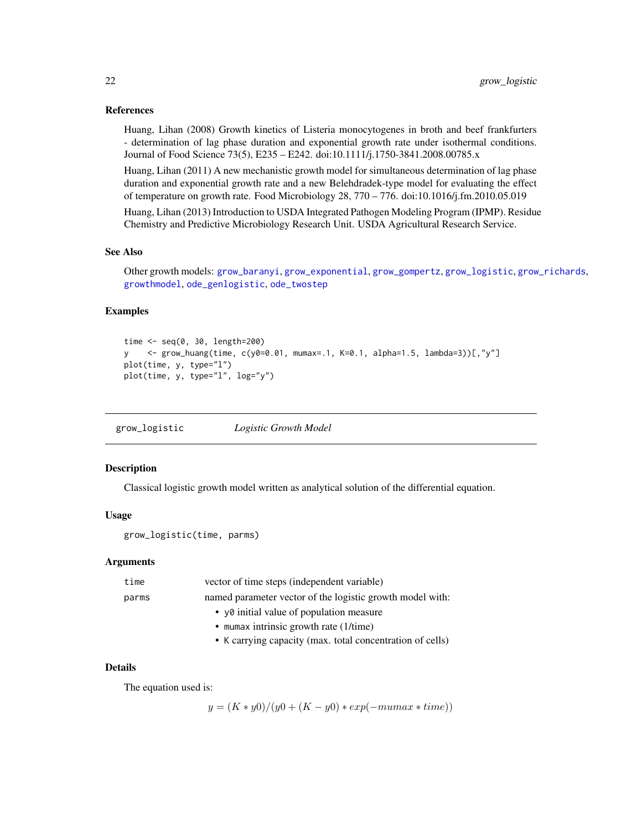#### <span id="page-21-0"></span>References

Huang, Lihan (2008) Growth kinetics of Listeria monocytogenes in broth and beef frankfurters - determination of lag phase duration and exponential growth rate under isothermal conditions. Journal of Food Science 73(5), E235 – E242. doi:10.1111/j.1750-3841.2008.00785.x

Huang, Lihan (2011) A new mechanistic growth model for simultaneous determination of lag phase duration and exponential growth rate and a new Belehdradek-type model for evaluating the effect of temperature on growth rate. Food Microbiology 28, 770 – 776. doi:10.1016/j.fm.2010.05.019

Huang, Lihan (2013) Introduction to USDA Integrated Pathogen Modeling Program (IPMP). Residue Chemistry and Predictive Microbiology Research Unit. USDA Agricultural Research Service.

#### See Also

Other growth models: [grow\\_baranyi](#page-16-1), [grow\\_exponential](#page-18-1), [grow\\_gompertz](#page-19-1), [grow\\_logistic](#page-21-1), [grow\\_richards](#page-22-1), [growthmodel](#page-14-1), [ode\\_genlogistic](#page-24-1), [ode\\_twostep](#page-26-1)

# Examples

```
time <- seq(0, 30, length=200)
y <- grow_huang(time, c(y0=0.01, mumax=.1, K=0.1, alpha=1.5, lambda=3))[,"y"]
plot(time, y, type="l")
plot(time, y, type="l", log="y")
```
<span id="page-21-1"></span>grow\_logistic *Logistic Growth Model*

#### Description

Classical logistic growth model written as analytical solution of the differential equation.

#### Usage

```
grow_logistic(time, parms)
```
#### Arguments

| time  | vector of time steps (independent variable)               |
|-------|-----------------------------------------------------------|
| parms | named parameter vector of the logistic growth model with: |
|       | • yo initial value of population measure                  |
|       | • mumax intrinsic growth rate $(1/time)$                  |
|       | • K carrying capacity (max. total concentration of cells) |

# Details

The equation used is:

 $y = (K * y0)/(y0 + (K - y0) * exp(-mumax * time))$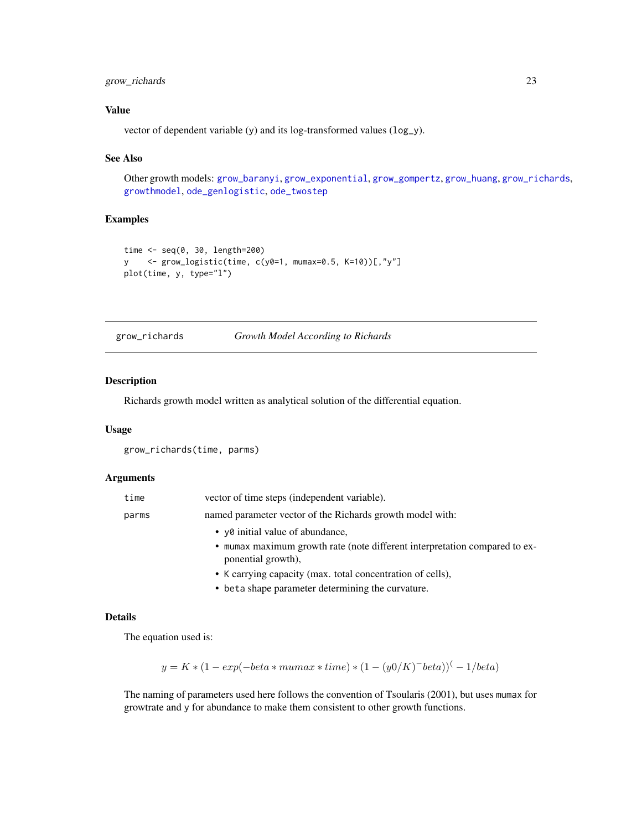# <span id="page-22-0"></span>grow\_richards 23

# Value

vector of dependent variable (y) and its log-transformed values (log\_y).

# See Also

Other growth models: [grow\\_baranyi](#page-16-1), [grow\\_exponential](#page-18-1), [grow\\_gompertz](#page-19-1), [grow\\_huang](#page-20-1), [grow\\_richards](#page-22-1), [growthmodel](#page-14-1), [ode\\_genlogistic](#page-24-1), [ode\\_twostep](#page-26-1)

# Examples

```
time <- seq(0, 30, length=200)
y <- grow_logistic(time, c(y0=1, mumax=0.5, K=10))[,"y"]
plot(time, y, type="l")
```
<span id="page-22-1"></span>grow\_richards *Growth Model According to Richards*

# Description

Richards growth model written as analytical solution of the differential equation.

# Usage

```
grow_richards(time, parms)
```
#### **Arguments**

| time  | vector of time steps (independent variable).                                                     |
|-------|--------------------------------------------------------------------------------------------------|
| parms | named parameter vector of the Richards growth model with:                                        |
|       | • yo initial value of abundance.                                                                 |
|       | • mumax maximum growth rate (note different interpretation compared to ex-<br>ponential growth). |
|       | • K carrying capacity (max. total concentration of cells),                                       |
|       |                                                                                                  |

• beta shape parameter determining the curvature.

# Details

The equation used is:

$$
y = K * (1 - exp(-beta * mumax * time) * (1 - (y0/K)^{-}beta))( - 1/beta)
$$

The naming of parameters used here follows the convention of Tsoularis (2001), but uses mumax for growtrate and y for abundance to make them consistent to other growth functions.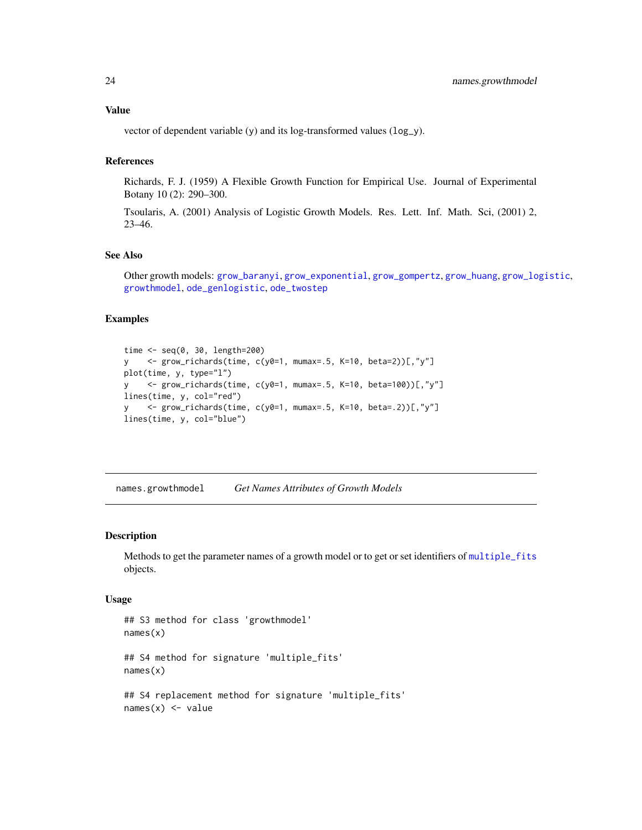# <span id="page-23-0"></span>Value

vector of dependent variable (y) and its log-transformed values (log\_y).

# References

Richards, F. J. (1959) A Flexible Growth Function for Empirical Use. Journal of Experimental Botany 10 (2): 290–300.

Tsoularis, A. (2001) Analysis of Logistic Growth Models. Res. Lett. Inf. Math. Sci, (2001) 2, 23–46.

# See Also

Other growth models: [grow\\_baranyi](#page-16-1), [grow\\_exponential](#page-18-1), [grow\\_gompertz](#page-19-1), [grow\\_huang](#page-20-1), [grow\\_logistic](#page-21-1), [growthmodel](#page-14-1), [ode\\_genlogistic](#page-24-1), [ode\\_twostep](#page-26-1)

# Examples

```
time <- seq(0, 30, length=200)
y <- grow_richards(time, c(y0=1, mumax=.5, K=10, beta=2))[,"y"]
plot(time, y, type="l")
y <- grow_richards(time, c(y0=1, mumax=.5, K=10, beta=100))[,"y"]
lines(time, y, col="red")
y <- grow_richards(time, c(y0=1, mumax=.5, K=10, beta=.2))[,"y"]
lines(time, y, col="blue")
```
names.growthmodel *Get Names Attributes of Growth Models*

# **Description**

Methods to get the parameter names of a growth model or to get or set identifiers of [multiple\\_fits](#page-16-2) objects.

#### Usage

```
## S3 method for class 'growthmodel'
names(x)
## S4 method for signature 'multiple_fits'
names(x)
## S4 replacement method for signature 'multiple_fits'
names(x) <- value
```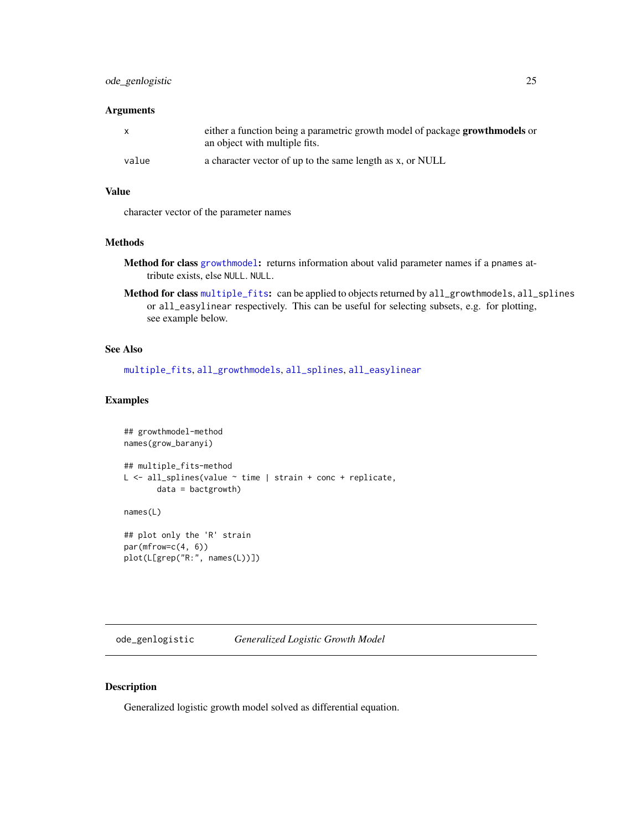# <span id="page-24-0"></span>ode\_genlogistic 25

# Arguments

| $\mathbf{x}$ | either a function being a parametric growth model of package <b>growthmodels</b> or<br>an object with multiple fits. |
|--------------|----------------------------------------------------------------------------------------------------------------------|
| value        | a character vector of up to the same length as x, or NULL                                                            |

# Value

character vector of the parameter names

# Methods

- Method for class [growthmodel](#page-14-1): returns information about valid parameter names if a pnames attribute exists, else NULL. NULL.
- Method for class [multiple\\_fits](#page-16-2): can be applied to objects returned by all\_growthmodels, all\_splines or all\_easylinear respectively. This can be useful for selecting subsets, e.g. for plotting, see example below.

# See Also

[multiple\\_fits](#page-16-2), [all\\_growthmodels](#page-4-1), [all\\_splines](#page-6-1), [all\\_easylinear](#page-3-1)

# Examples

```
## growthmodel-method
names(grow_baranyi)
## multiple_fits-method
L <- all_splines(value ~ time | strain + conc + replicate,
       data = bactgrowth)
names(L)
## plot only the 'R' strain
par(mfrow=c(4, 6))
plot(L[grep("R:", names(L))])
```
<span id="page-24-1"></span>ode\_genlogistic *Generalized Logistic Growth Model*

# Description

Generalized logistic growth model solved as differential equation.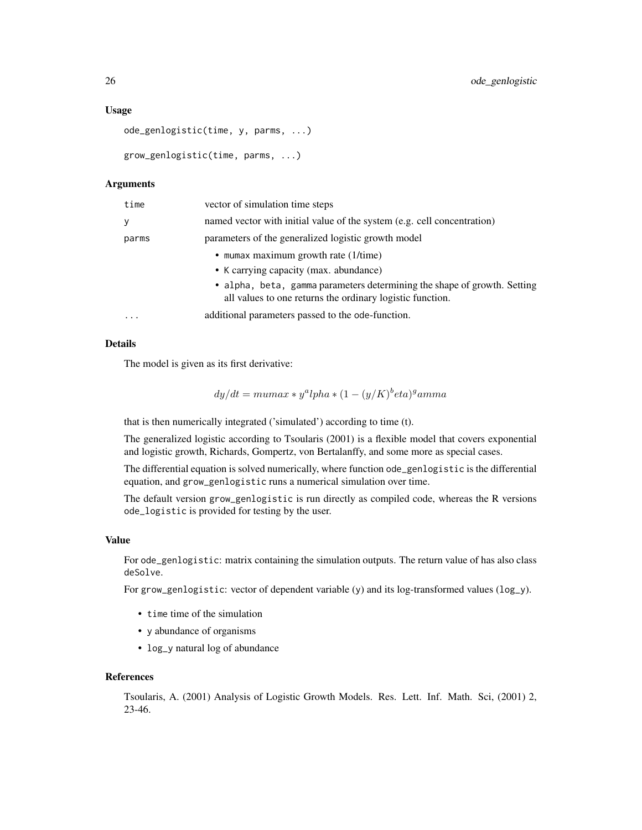#### Usage

```
ode_genlogistic(time, y, parms, ...)
```

```
grow_genlogistic(time, parms, ...)
```
# Arguments

| time  | vector of simulation time steps                                                                                                       |
|-------|---------------------------------------------------------------------------------------------------------------------------------------|
| У     | named vector with initial value of the system (e.g. cell concentration)                                                               |
| parms | parameters of the generalized logistic growth model                                                                                   |
|       | • mumax maximum growth rate $(1/time)$                                                                                                |
|       | • K carrying capacity (max. abundance)                                                                                                |
|       | • alpha, beta, gamma parameters determining the shape of growth. Setting<br>all values to one returns the ordinary logistic function. |
|       | additional parameters passed to the ode-function.                                                                                     |

# Details

The model is given as its first derivative:

$$
dy/dt = mumax * y^a lpha * (1 - (y/K)^b eta)^g amma
$$

that is then numerically integrated ('simulated') according to time (t).

The generalized logistic according to Tsoularis (2001) is a flexible model that covers exponential and logistic growth, Richards, Gompertz, von Bertalanffy, and some more as special cases.

The differential equation is solved numerically, where function ode\_genlogistic is the differential equation, and grow\_genlogistic runs a numerical simulation over time.

The default version grow\_genlogistic is run directly as compiled code, whereas the R versions ode\_logistic is provided for testing by the user.

#### Value

For ode\_genlogistic: matrix containing the simulation outputs. The return value of has also class deSolve.

For grow\_genlogistic: vector of dependent variable (y) and its log-transformed values (log\_y).

- time time of the simulation
- y abundance of organisms
- log\_y natural log of abundance

#### References

Tsoularis, A. (2001) Analysis of Logistic Growth Models. Res. Lett. Inf. Math. Sci, (2001) 2, 23-46.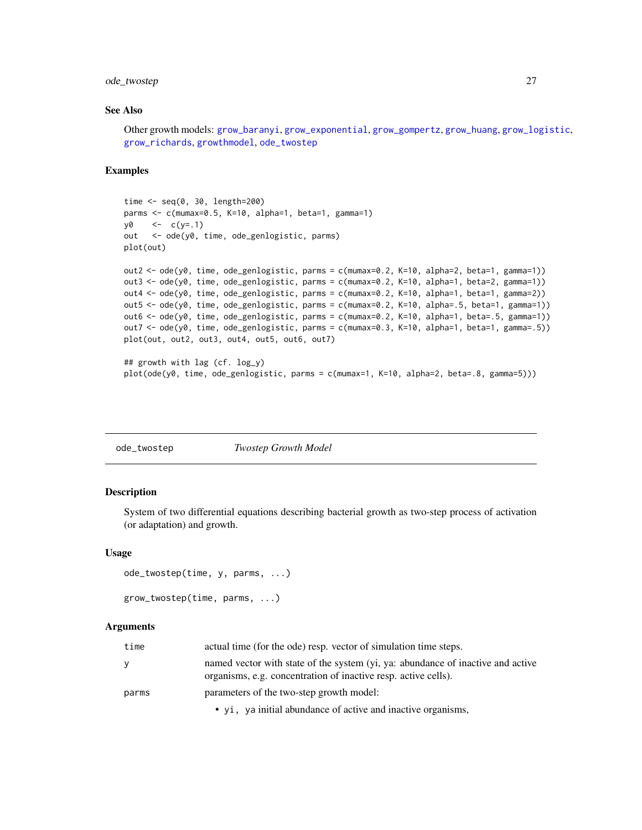# <span id="page-26-0"></span>ode\_twostep 27

#### See Also

Other growth models: [grow\\_baranyi](#page-16-1), [grow\\_exponential](#page-18-1), [grow\\_gompertz](#page-19-1), [grow\\_huang](#page-20-1), [grow\\_logistic](#page-21-1), [grow\\_richards](#page-22-1), [growthmodel](#page-14-1), [ode\\_twostep](#page-26-1)

#### Examples

```
time <- seq(0, 30, length=200)
parms <- c(mumax=0.5, K=10, alpha=1, beta=1, gamma=1)
y0 \le -c(y=.1)out <- ode(y0, time, ode_genlogistic, parms)
plot(out)
out2 <- ode(y0, time, ode_genlogistic, parms = c(mumax=0.2, K=10, alpha=2, beta=1, gamma=1))
out3 <- ode(y0, time, ode_genlogistic, parms = c(mumax=0.2, K=10, alpha=1, beta=2, gamma=1))
out4 <- ode(y0, time, ode_genlogistic, parms = c(mumax=0.2, K=10, alpha=1, beta=1, gamma=2))
out5 <- ode(y0, time, ode_genlogistic, parms = c(mumax=0.2, K=10, alpha=.5, beta=1, gamma=1))
out6 <- ode(y0, time, ode_genlogistic, parms = c(mumax=0.2, K=10, alpha=1, beta=.5, gamma=1))
out7 <- ode(y0, time, ode_genlogistic, parms = c(mumax=0.3, K=10, alpha=1, beta=1, gamma=.5))
plot(out, out2, out3, out4, out5, out6, out7)
## growth with lag (cf. log_y)
```

```
plot(ode(y0, time, ode_genlogistic, parms = c(mumax=1, K=10, alpha=2, beta=.8, gamma=5)))
```
<span id="page-26-1"></span>ode\_twostep *Twostep Growth Model*

#### **Description**

System of two differential equations describing bacterial growth as two-step process of activation (or adaptation) and growth.

#### Usage

```
ode_twostep(time, y, parms, ...)
grow_twostep(time, parms, ...)
```
#### **Arguments**

| time  | actual time (for the ode) resp. vector of simulation time steps.                                                                                  |
|-------|---------------------------------------------------------------------------------------------------------------------------------------------------|
| y     | named vector with state of the system (yi, ya: abundance of inactive and active<br>organisms, e.g. concentration of inactive resp. active cells). |
| parms | parameters of the two-step growth model:                                                                                                          |
|       | • yi, ya initial abundance of active and inactive organisms,                                                                                      |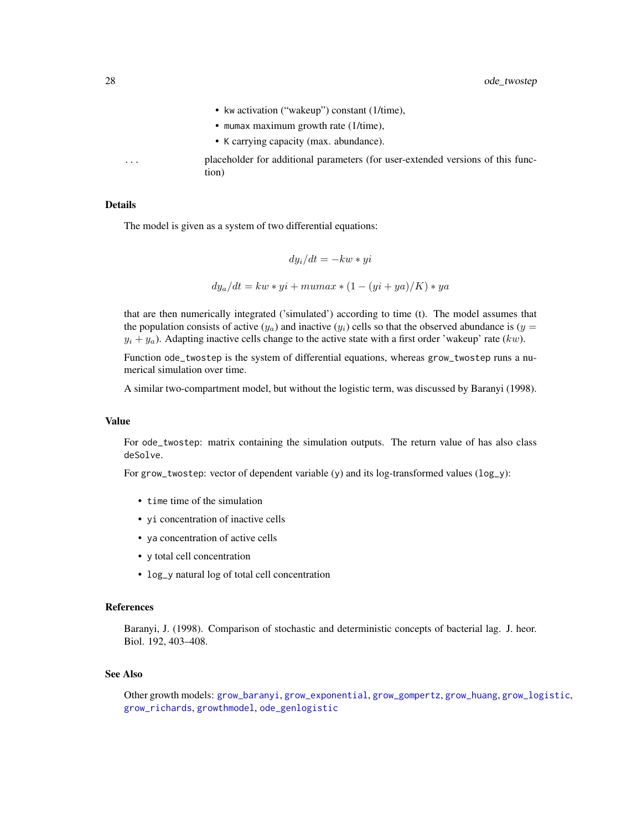- kw activation ("wakeup") constant (1/time),
- mumax maximum growth rate (1/time),
- K carrying capacity (max. abundance).

<span id="page-27-0"></span>... placeholder for additional parameters (for user-extended versions of this function)

#### Details

The model is given as a system of two differential equations:

 $dy_i/dt = -kw * yi$  $dy_a/dt = kw * yi + mumax * (1 - (yi + ya)/K) * ya$ 

that are then numerically integrated ('simulated') according to time (t). The model assumes that the population consists of active  $(y_a)$  and inactive  $(y_i)$  cells so that the observed abundance is  $(y =$  $y_i + y_a$ ). Adapting inactive cells change to the active state with a first order 'wakeup' rate (kw).

Function ode\_twostep is the system of differential equations, whereas grow\_twostep runs a numerical simulation over time.

A similar two-compartment model, but without the logistic term, was discussed by Baranyi (1998).

# Value

For ode\_twostep: matrix containing the simulation outputs. The return value of has also class deSolve.

For grow\_twostep: vector of dependent variable (y) and its log-transformed values  $(\log_2 y)$ :

- time time of the simulation
- yi concentration of inactive cells
- ya concentration of active cells
- y total cell concentration
- log\_y natural log of total cell concentration

# References

Baranyi, J. (1998). Comparison of stochastic and deterministic concepts of bacterial lag. J. heor. Biol. 192, 403–408.

# See Also

Other growth models: [grow\\_baranyi](#page-16-1), [grow\\_exponential](#page-18-1), [grow\\_gompertz](#page-19-1), [grow\\_huang](#page-20-1), [grow\\_logistic](#page-21-1), [grow\\_richards](#page-22-1), [growthmodel](#page-14-1), [ode\\_genlogistic](#page-24-1)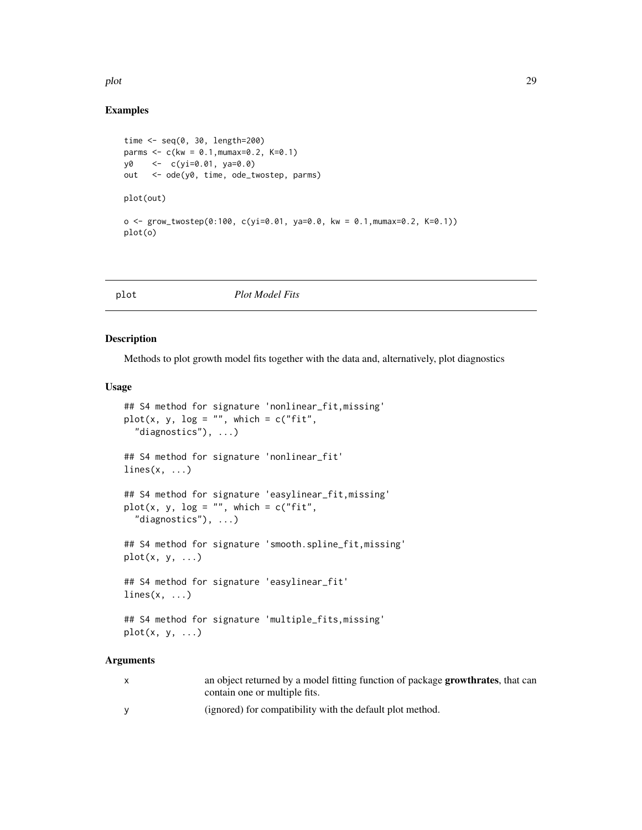<span id="page-28-0"></span>plot the contract of the contract of the contract of the contract of the contract of the contract of the contract of the contract of the contract of the contract of the contract of the contract of the contract of the contr

# Examples

```
time \leq seq(0, 30, length=200)
parms \leq -c (kw = 0.1, mumax=0.2, K=0.1)
y0 <- c(yi=0.01, ya=0.0)
out <- ode(y0, time, ode_twostep, parms)
plot(out)
o <- grow_twostep(0:100, c(yi=0.01, ya=0.0, kw = 0.1,mumax=0.2, K=0.1))
plot(o)
```
plot *Plot Model Fits*

# Description

Methods to plot growth model fits together with the data and, alternatively, plot diagnostics

# Usage

```
## S4 method for signature 'nonlinear_fit,missing'
plot(x, y, log = "", which = c("fit","diagnostics"), ...)
## S4 method for signature 'nonlinear_fit'
lines(x, \ldots)## S4 method for signature 'easylinear_fit,missing'
plot(x, y, log = "", which = c("fit","diagnostics"), ...)
## S4 method for signature 'smooth.spline_fit,missing'
plot(x, y, ...)
## S4 method for signature 'easylinear_fit'
lines(x, \ldots)## S4 method for signature 'multiple_fits,missing'
plot(x, y, ...)
```
#### Arguments

| an object returned by a model fitting function of package <b>growthrates</b> , that can |
|-----------------------------------------------------------------------------------------|
| contain one or multiple fits.                                                           |
| (ignored) for compatibility with the default plot method.                               |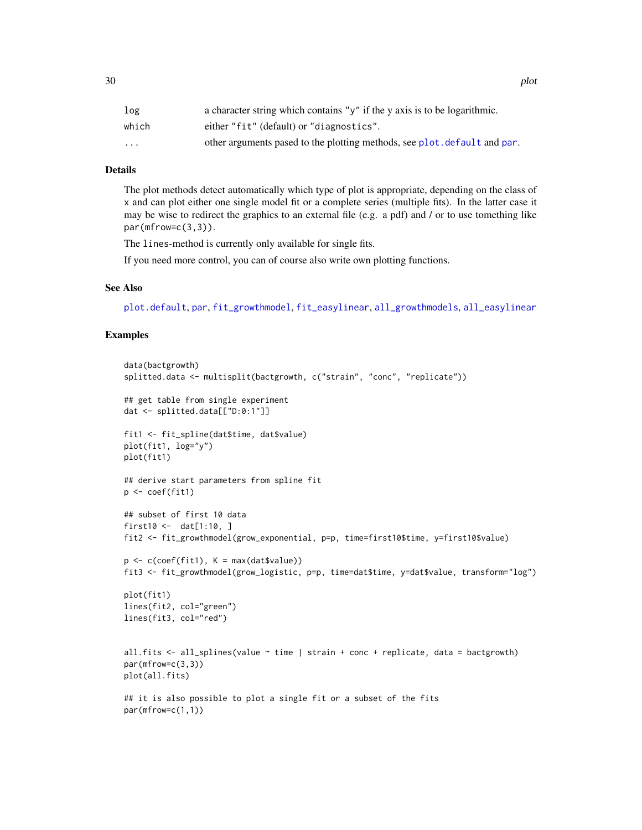<span id="page-29-0"></span>

| log                     | a character string which contains " $y$ " if the y axis is to be logarithmic. |
|-------------------------|-------------------------------------------------------------------------------|
| which                   | either "fit" (default) or "diagnostics".                                      |
| $\cdot$ $\cdot$ $\cdot$ | other arguments pased to the plotting methods, see plot. default and par.     |

# Details

The plot methods detect automatically which type of plot is appropriate, depending on the class of x and can plot either one single model fit or a complete series (multiple fits). In the latter case it may be wise to redirect the graphics to an external file (e.g. a pdf) and / or to use tomething like par(mfrow=c(3,3)).

The lines-method is currently only available for single fits.

If you need more control, you can of course also write own plotting functions.

#### See Also

[plot.default](#page-0-0), [par](#page-0-0), [fit\\_growthmodel](#page-11-1), [fit\\_easylinear](#page-9-1), [all\\_growthmodels](#page-4-1), [all\\_easylinear](#page-3-1)

```
data(bactgrowth)
splitted.data <- multisplit(bactgrowth, c("strain", "conc", "replicate"))
## get table from single experiment
dat <- splitted.data[["D:0:1"]]
fit1 <- fit_spline(dat$time, dat$value)
plot(fit1, log="y")
plot(fit1)
## derive start parameters from spline fit
p \leftarrow \text{coeff}(\text{fit1})## subset of first 10 data
first10 \leq - dat[1:10, 1]fit2 <- fit_growthmodel(grow_exponential, p=p, time=first10$time, y=first10$value)
p \leftarrow c(coef(fit1), K = max(data\$value))fit3 <- fit_growthmodel(grow_logistic, p=p, time=dat$time, y=dat$value, transform="log")
plot(fit1)
lines(fit2, col="green")
lines(fit3, col="red")
all.fits <- all_splines(value ~ time | strain + conc + replicate, data = bactgrowth)
par(mfrow=c(3,3))
plot(all.fits)
## it is also possible to plot a single fit or a subset of the fits
par(mfrow=c(1,1))
```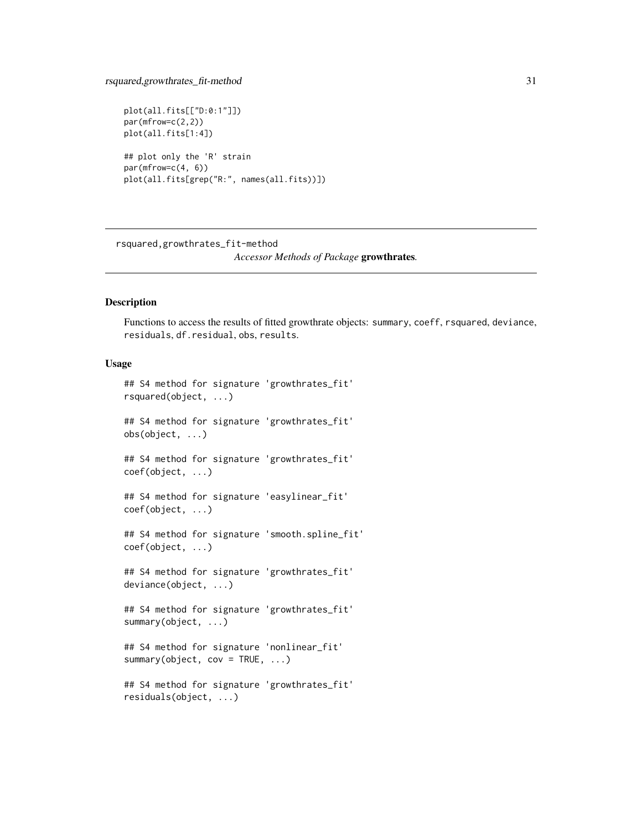# <span id="page-30-0"></span>rsquared,growthrates\_fit-method 31

```
plot(all.fits[["D:0:1"]])
par(mfrow=c(2,2))
plot(all.fits[1:4])
## plot only the 'R' strain
par(mfrow=c(4, 6))
plot(all.fits[grep("R:", names(all.fits))])
```
rsquared,growthrates\_fit-method *Accessor Methods of Package* growthrates*.*

#### Description

Functions to access the results of fitted growthrate objects: summary, coeff, rsquared, deviance, residuals, df.residual, obs, results.

# Usage

```
## S4 method for signature 'growthrates_fit'
rsquared(object, ...)
## S4 method for signature 'growthrates_fit'
obs(object, ...)
## S4 method for signature 'growthrates_fit'
coef(object, ...)
## S4 method for signature 'easylinear_fit'
coef(object, ...)
## S4 method for signature 'smooth.spline_fit'
coef(object, ...)
## S4 method for signature 'growthrates_fit'
deviance(object, ...)
## S4 method for signature 'growthrates_fit'
summary(object, ...)
## S4 method for signature 'nonlinear_fit'
summary(object, cov = TRUE, ...)
## S4 method for signature 'growthrates_fit'
residuals(object, ...)
```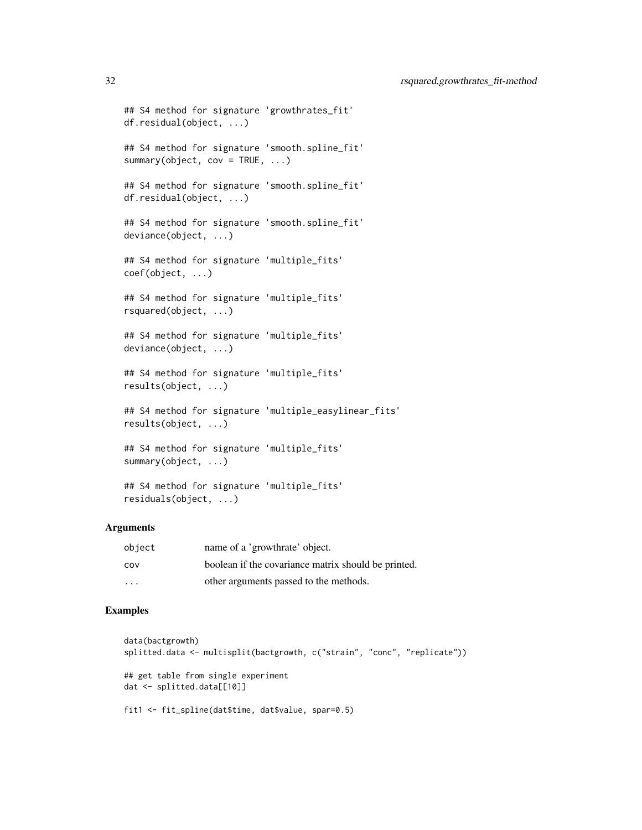```
## S4 method for signature 'growthrates_fit'
df.residual(object, ...)
## S4 method for signature 'smooth.spline_fit'
summary(object, cov = TRUE, ...)
## S4 method for signature 'smooth.spline_fit'
df.residual(object, ...)
## S4 method for signature 'smooth.spline_fit'
deviance(object, ...)
## S4 method for signature 'multiple_fits'
coef(object, ...)
## S4 method for signature 'multiple_fits'
rsquared(object, ...)
## S4 method for signature 'multiple_fits'
deviance(object, ...)
## S4 method for signature 'multiple_fits'
results(object, ...)
## S4 method for signature 'multiple_easylinear_fits'
results(object, ...)
## S4 method for signature 'multiple_fits'
summary(object, ...)
## S4 method for signature 'multiple_fits'
```
#### Arguments

residuals(object, ...)

| object                  | name of a 'growthrate' object.                      |
|-------------------------|-----------------------------------------------------|
| cov                     | boolean if the covariance matrix should be printed. |
| $\cdot$ $\cdot$ $\cdot$ | other arguments passed to the methods.              |

```
data(bactgrowth)
splitted.data <- multisplit(bactgrowth, c("strain", "conc", "replicate"))
## get table from single experiment
dat <- splitted.data[[10]]
fit1 <- fit_spline(dat$time, dat$value, spar=0.5)
```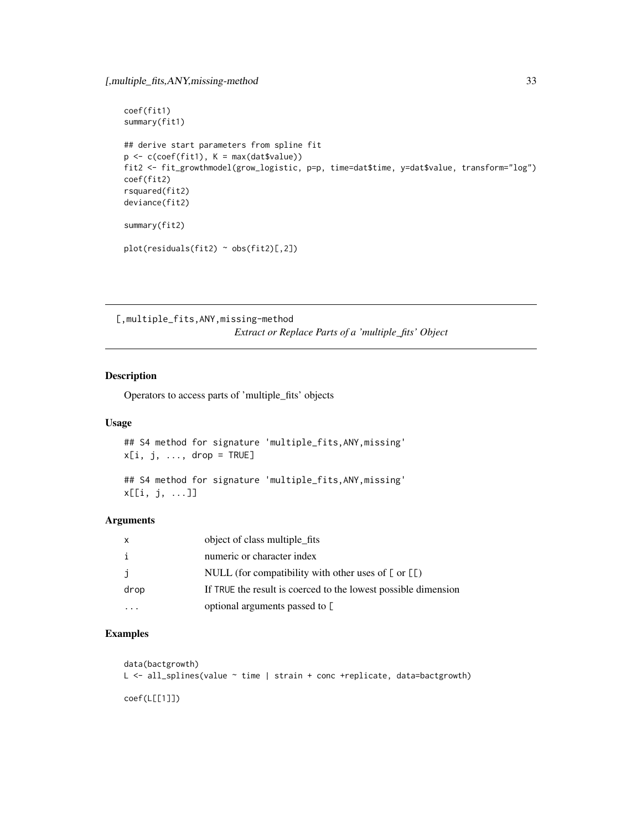```
coef(fit1)
summary(fit1)
## derive start parameters from spline fit
p \leftarrow c(coef(fitt), K = max(datavalue))fit2 <- fit_growthmodel(grow_logistic, p=p, time=dat$time, y=dat$value, transform="log")
coef(fit2)
rsquared(fit2)
deviance(fit2)
summary(fit2)
plot(residuals(fit2) ~ obs(fit2)[,2])
```
[,multiple\_fits,ANY,missing-method *Extract or Replace Parts of a 'multiple\_fits' Object*

# Description

Operators to access parts of 'multiple\_fits' objects

#### Usage

```
## S4 method for signature 'multiple_fits,ANY,missing'
x[i, j, ..., drop = TRUE]
```

```
## S4 method for signature 'multiple_fits,ANY,missing'
x[[i, j, ...]]
```
# Arguments

| $\mathsf{x}$ | object of class multiple fits                                   |
|--------------|-----------------------------------------------------------------|
|              | numeric or character index                                      |
| j.           | NULL (for compatibility with other uses of $[$ or $[$ $[$ $]$ ) |
| drop         | If TRUE the result is coerced to the lowest possible dimension  |
|              | optional arguments passed to [                                  |

```
data(bactgrowth)
L <- all_splines(value ~ time | strain + conc +replicate, data=bactgrowth)
coef(L[[1]])
```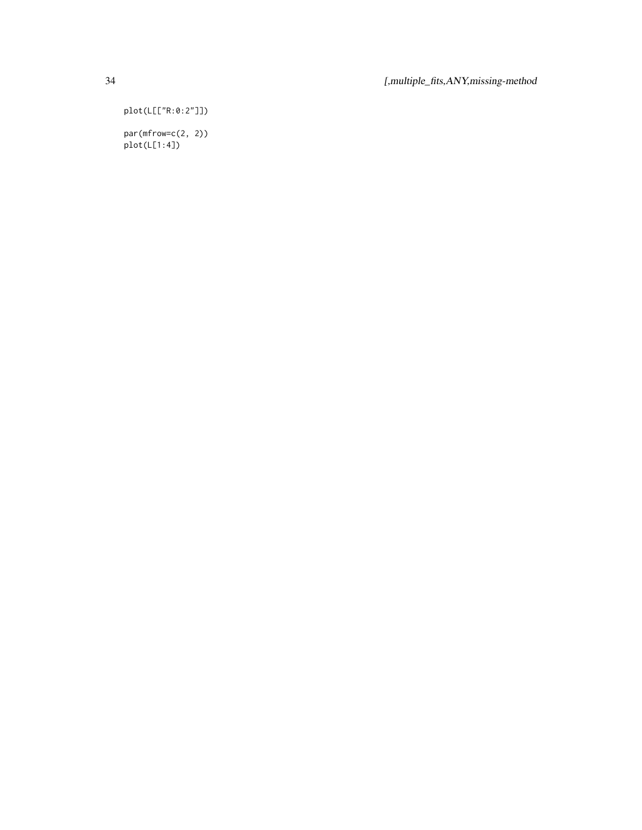34 [,multiple\_fits,ANY,missing-method

plot(L[["R:0:2"]])

par(mfrow=c(2, 2)) plot(L[1:4])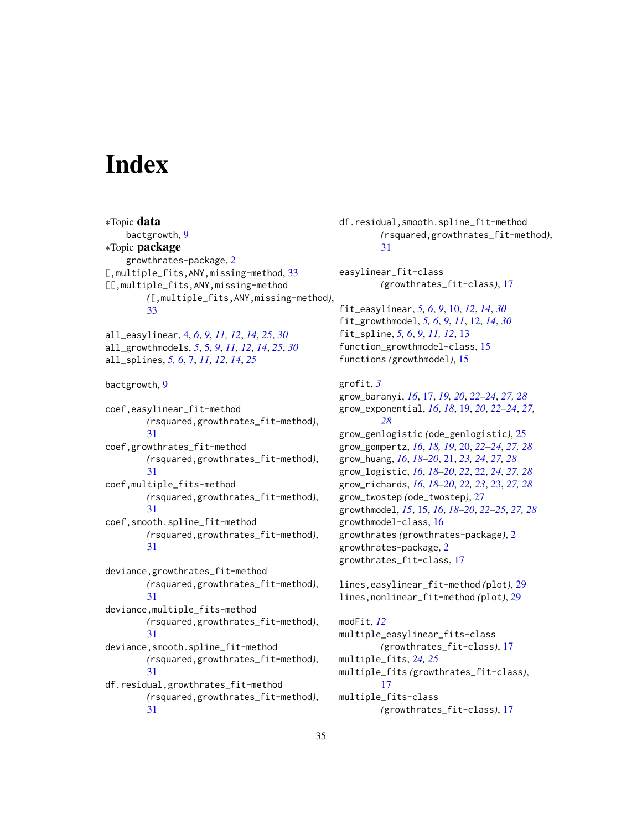# <span id="page-34-0"></span>**Index**

∗Topic data bactgrowth, [9](#page-8-0) ∗Topic package growthrates-package, [2](#page-1-0) [, multiple\_fits, ANY, missing-method, [33](#page-32-0) [[,multiple\_fits,ANY,missing-method *(*[,multiple\_fits,ANY,missing-method*)*, [33](#page-32-0)

all\_easylinear, [4,](#page-3-0) *[6](#page-5-0)*, *[9](#page-8-0)*, *[11,](#page-10-0) [12](#page-11-0)*, *[14](#page-13-0)*, *[25](#page-24-0)*, *[30](#page-29-0)* all\_growthmodels, *[5](#page-4-0)*, [5,](#page-4-0) *[9](#page-8-0)*, *[11,](#page-10-0) [12](#page-11-0)*, *[14](#page-13-0)*, *[25](#page-24-0)*, *[30](#page-29-0)* all\_splines, *[5,](#page-4-0) [6](#page-5-0)*, [7,](#page-6-0) *[11,](#page-10-0) [12](#page-11-0)*, *[14](#page-13-0)*, *[25](#page-24-0)*

bactgrowth, [9](#page-8-0)

```
coef,easylinear_fit-method
        (rsquared,growthrates_fit-method),
        31
```
coef,growthrates\_fit-method *(*rsquared,growthrates\_fit-method*)*, [31](#page-30-0)

- coef,multiple\_fits-method *(*rsquared,growthrates\_fit-method*)*, [31](#page-30-0)
- coef,smooth.spline\_fit-method *(*rsquared,growthrates\_fit-method*)*, [31](#page-30-0)
- deviance,growthrates\_fit-method *(*rsquared,growthrates\_fit-method*)*, [31](#page-30-0)
- deviance,multiple\_fits-method *(*rsquared,growthrates\_fit-method*)*, [31](#page-30-0)

deviance,smooth.spline\_fit-method *(*rsquared,growthrates\_fit-method*)*, [31](#page-30-0)

df.residual,growthrates\_fit-method *(*rsquared,growthrates\_fit-method*)*, [31](#page-30-0)

df.residual,smooth.spline\_fit-method *(*rsquared,growthrates\_fit-method*)*, [31](#page-30-0) easylinear\_fit-class *(*growthrates\_fit-class*)*, [17](#page-16-0) fit\_easylinear, *[5,](#page-4-0) [6](#page-5-0)*, *[9](#page-8-0)*, [10,](#page-9-0) *[12](#page-11-0)*, *[14](#page-13-0)*, *[30](#page-29-0)* fit\_growthmodel, *[5,](#page-4-0) [6](#page-5-0)*, *[9](#page-8-0)*, *[11](#page-10-0)*, [12,](#page-11-0) *[14](#page-13-0)*, *[30](#page-29-0)* fit\_spline, *[5,](#page-4-0) [6](#page-5-0)*, *[9](#page-8-0)*, *[11,](#page-10-0) [12](#page-11-0)*, [13](#page-12-0) function\_growthmodel-class, [15](#page-14-0) functions *(*growthmodel*)*, [15](#page-14-0) grofit, *[3](#page-2-0)* grow\_baranyi, *[16](#page-15-0)*, [17,](#page-16-0) *[19,](#page-18-0) [20](#page-19-0)*, *[22](#page-21-0)[–24](#page-23-0)*, *[27,](#page-26-0) [28](#page-27-0)* grow\_exponential, *[16](#page-15-0)*, *[18](#page-17-0)*, [19,](#page-18-0) *[20](#page-19-0)*, *[22](#page-21-0)[–24](#page-23-0)*, *[27,](#page-26-0) [28](#page-27-0)* grow\_genlogistic *(*ode\_genlogistic*)*, [25](#page-24-0) grow\_gompertz, *[16](#page-15-0)*, *[18,](#page-17-0) [19](#page-18-0)*, [20,](#page-19-0) *[22](#page-21-0)[–24](#page-23-0)*, *[27,](#page-26-0) [28](#page-27-0)* grow\_huang, *[16](#page-15-0)*, *[18](#page-17-0)[–20](#page-19-0)*, [21,](#page-20-0) *[23,](#page-22-0) [24](#page-23-0)*, *[27,](#page-26-0) [28](#page-27-0)* grow\_logistic, *[16](#page-15-0)*, *[18](#page-17-0)[–20](#page-19-0)*, *[22](#page-21-0)*, [22,](#page-21-0) *[24](#page-23-0)*, *[27,](#page-26-0) [28](#page-27-0)* grow\_richards, *[16](#page-15-0)*, *[18](#page-17-0)[–20](#page-19-0)*, *[22,](#page-21-0) [23](#page-22-0)*, [23,](#page-22-0) *[27,](#page-26-0) [28](#page-27-0)* grow\_twostep *(*ode\_twostep*)*, [27](#page-26-0) growthmodel, *[15](#page-14-0)*, [15,](#page-14-0) *[16](#page-15-0)*, *[18–](#page-17-0)[20](#page-19-0)*, *[22](#page-21-0)[–25](#page-24-0)*, *[27,](#page-26-0) [28](#page-27-0)* growthmodel-class, [16](#page-15-0) growthrates *(*growthrates-package*)*, [2](#page-1-0) growthrates-package, [2](#page-1-0) growthrates\_fit-class, [17](#page-16-0)

lines,easylinear\_fit-method *(*plot*)*, [29](#page-28-0) lines,nonlinear\_fit-method *(*plot*)*, [29](#page-28-0)

modFit, *[12](#page-11-0)* multiple\_easylinear\_fits-class *(*growthrates\_fit-class*)*, [17](#page-16-0) multiple\_fits, *[24,](#page-23-0) [25](#page-24-0)* multiple\_fits *(*growthrates\_fit-class*)*, [17](#page-16-0) multiple\_fits-class *(*growthrates\_fit-class*)*, [17](#page-16-0)